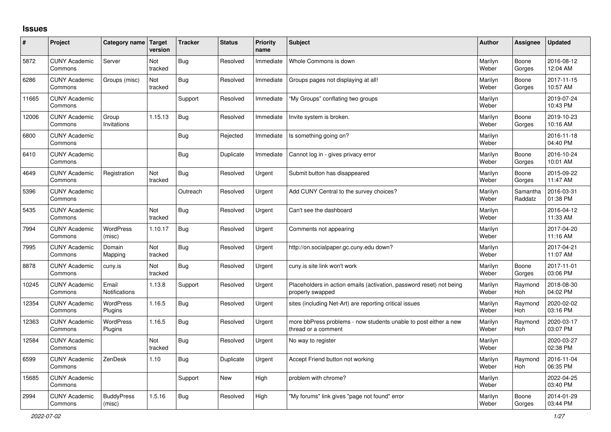## **Issues**

| #     | Project                         | Category name Target        | version        | <b>Tracker</b> | <b>Status</b> | <b>Priority</b><br>name | <b>Subject</b>                                                                           | <b>Author</b>    | Assignee              | <b>Updated</b>         |
|-------|---------------------------------|-----------------------------|----------------|----------------|---------------|-------------------------|------------------------------------------------------------------------------------------|------------------|-----------------------|------------------------|
| 5872  | <b>CUNY Academic</b><br>Commons | Server                      | Not<br>tracked | <b>Bug</b>     | Resolved      | Immediate               | Whole Commons is down                                                                    | Marilyn<br>Weber | Boone<br>Gorges       | 2016-08-12<br>12:04 AM |
| 6286  | <b>CUNY Academic</b><br>Commons | Groups (misc)               | Not<br>tracked | <b>Bug</b>     | Resolved      | Immediate               | Groups pages not displaying at all!                                                      | Marilyn<br>Weber | Boone<br>Gorges       | 2017-11-15<br>10:57 AM |
| 11665 | <b>CUNY Academic</b><br>Commons |                             |                | Support        | Resolved      | Immediate               | "My Groups" conflating two groups                                                        | Marilyn<br>Weber |                       | 2019-07-24<br>10:43 PM |
| 12006 | <b>CUNY Academic</b><br>Commons | Group<br>Invitations        | 1.15.13        | <b>Bug</b>     | Resolved      | Immediate               | Invite system is broken.                                                                 | Marilyn<br>Weber | Boone<br>Gorges       | 2019-10-23<br>10:16 AM |
| 6800  | <b>CUNY Academic</b><br>Commons |                             |                | <b>Bug</b>     | Rejected      | Immediate               | Is something going on?                                                                   | Marilyn<br>Weber |                       | 2016-11-18<br>04:40 PM |
| 6410  | <b>CUNY Academic</b><br>Commons |                             |                | <b>Bug</b>     | Duplicate     | Immediate               | Cannot log in - gives privacy error                                                      | Marilyn<br>Weber | Boone<br>Gorges       | 2016-10-24<br>10:01 AM |
| 4649  | <b>CUNY Academic</b><br>Commons | Registration                | Not<br>tracked | <b>Bug</b>     | Resolved      | Urgent                  | Submit button has disappeared                                                            | Marilyn<br>Weber | Boone<br>Gorges       | 2015-09-22<br>11:47 AM |
| 5396  | <b>CUNY Academic</b><br>Commons |                             |                | Outreach       | Resolved      | Urgent                  | Add CUNY Central to the survey choices?                                                  | Marilyn<br>Weber | Samantha<br>Raddatz   | 2016-03-31<br>01:38 PM |
| 5435  | <b>CUNY Academic</b><br>Commons |                             | Not<br>tracked | <b>Bug</b>     | Resolved      | Urgent                  | Can't see the dashboard                                                                  | Marilyn<br>Weber |                       | 2016-04-12<br>11:33 AM |
| 7994  | <b>CUNY Academic</b><br>Commons | <b>WordPress</b><br>(misc)  | 1.10.17        | Bug            | Resolved      | Urgent                  | Comments not appearing                                                                   | Marilyn<br>Weber |                       | 2017-04-20<br>11:16 AM |
| 7995  | <b>CUNY Academic</b><br>Commons | Domain<br>Mapping           | Not<br>tracked | <b>Bug</b>     | Resolved      | Urgent                  | http://on.socialpaper.gc.cuny.edu down?                                                  | Marilyn<br>Weber |                       | 2017-04-21<br>11:07 AM |
| 8878  | <b>CUNY Academic</b><br>Commons | cuny.is                     | Not<br>tracked | <b>Bug</b>     | Resolved      | Urgent                  | cuny.is site link won't work                                                             | Marilyn<br>Weber | Boone<br>Gorges       | 2017-11-01<br>03:06 PM |
| 10245 | <b>CUNY Academic</b><br>Commons | Email<br>Notifications      | 1.13.8         | Support        | Resolved      | Urgent                  | Placeholders in action emails (activation, password reset) not being<br>properly swapped | Marilyn<br>Weber | Raymond<br>Hoh        | 2018-08-30<br>04:02 PM |
| 12354 | <b>CUNY Academic</b><br>Commons | WordPress<br>Plugins        | 1.16.5         | <b>Bug</b>     | Resolved      | Urgent                  | sites (including Net-Art) are reporting critical issues                                  | Marilyn<br>Weber | Raymond<br><b>Hoh</b> | 2020-02-02<br>03:16 PM |
| 12363 | <b>CUNY Academic</b><br>Commons | <b>WordPress</b><br>Plugins | 1.16.5         | <b>Bug</b>     | Resolved      | Urgent                  | more bbPress problems - now students unable to post either a new<br>thread or a comment  | Marilyn<br>Weber | Raymond<br>Hoh        | 2020-03-17<br>03:07 PM |
| 12584 | <b>CUNY Academic</b><br>Commons |                             | Not<br>tracked | <b>Bug</b>     | Resolved      | Urgent                  | No way to register                                                                       | Marilyn<br>Weber |                       | 2020-03-27<br>02:38 PM |
| 6599  | <b>CUNY Academic</b><br>Commons | ZenDesk                     | 1.10           | Bug            | Duplicate     | Urgent                  | Accept Friend button not working                                                         | Marilyn<br>Weber | Raymond<br><b>Hoh</b> | 2016-11-04<br>06:35 PM |
| 15685 | <b>CUNY Academic</b><br>Commons |                             |                | Support        | <b>New</b>    | High                    | problem with chrome?                                                                     | Marilyn<br>Weber |                       | 2022-04-25<br>03:40 PM |
| 2994  | <b>CUNY Academic</b><br>Commons | <b>BuddyPress</b><br>(misc) | 1.5.16         | <b>Bug</b>     | Resolved      | High                    | "My forums" link gives "page not found" error                                            | Marilyn<br>Weber | Boone<br>Gorges       | 2014-01-29<br>03:44 PM |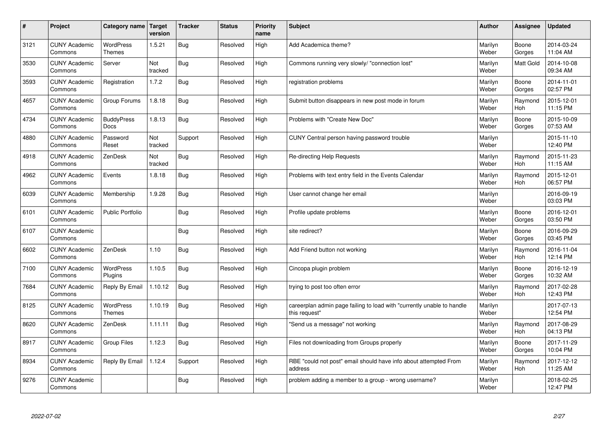| #    | Project                         | Category name                     | Target<br>version | <b>Tracker</b> | <b>Status</b> | <b>Priority</b><br>name | <b>Subject</b>                                                                          | <b>Author</b>    | Assignee         | <b>Updated</b>         |
|------|---------------------------------|-----------------------------------|-------------------|----------------|---------------|-------------------------|-----------------------------------------------------------------------------------------|------------------|------------------|------------------------|
| 3121 | <b>CUNY Academic</b><br>Commons | <b>WordPress</b><br><b>Themes</b> | 1.5.21            | Bug            | Resolved      | High                    | Add Academica theme?                                                                    | Marilyn<br>Weber | Boone<br>Gorges  | 2014-03-24<br>11:04 AM |
| 3530 | <b>CUNY Academic</b><br>Commons | Server                            | Not<br>tracked    | Bug            | Resolved      | High                    | Commons running very slowly/ "connection lost"                                          | Marilyn<br>Weber | <b>Matt Gold</b> | 2014-10-08<br>09:34 AM |
| 3593 | <b>CUNY Academic</b><br>Commons | Registration                      | 1.7.2             | <b>Bug</b>     | Resolved      | High                    | registration problems                                                                   | Marilyn<br>Weber | Boone<br>Gorges  | 2014-11-01<br>02:57 PM |
| 4657 | <b>CUNY Academic</b><br>Commons | Group Forums                      | 1.8.18            | <b>Bug</b>     | Resolved      | High                    | Submit button disappears in new post mode in forum                                      | Marilyn<br>Weber | Raymond<br>Hoh   | 2015-12-01<br>11:15 PM |
| 4734 | <b>CUNY Academic</b><br>Commons | <b>BuddyPress</b><br>Docs         | 1.8.13            | <b>Bug</b>     | Resolved      | High                    | Problems with "Create New Doc"                                                          | Marilyn<br>Weber | Boone<br>Gorges  | 2015-10-09<br>07:53 AM |
| 4880 | <b>CUNY Academic</b><br>Commons | Password<br>Reset                 | Not<br>tracked    | Support        | Resolved      | High                    | CUNY Central person having password trouble                                             | Marilyn<br>Weber |                  | 2015-11-10<br>12:40 PM |
| 4918 | <b>CUNY Academic</b><br>Commons | ZenDesk                           | Not<br>tracked    | <b>Bug</b>     | Resolved      | High                    | Re-directing Help Requests                                                              | Marilyn<br>Weber | Raymond<br>Hoh   | 2015-11-23<br>11:15 AM |
| 4962 | <b>CUNY Academic</b><br>Commons | Events                            | 1.8.18            | <b>Bug</b>     | Resolved      | High                    | Problems with text entry field in the Events Calendar                                   | Marilyn<br>Weber | Raymond<br>Hoh   | 2015-12-01<br>06:57 PM |
| 6039 | <b>CUNY Academic</b><br>Commons | Membership                        | 1.9.28            | Bug            | Resolved      | High                    | User cannot change her email                                                            | Marilyn<br>Weber |                  | 2016-09-19<br>03:03 PM |
| 6101 | <b>CUNY Academic</b><br>Commons | <b>Public Portfolio</b>           |                   | <b>Bug</b>     | Resolved      | High                    | Profile update problems                                                                 | Marilyn<br>Weber | Boone<br>Gorges  | 2016-12-01<br>03:50 PM |
| 6107 | <b>CUNY Academic</b><br>Commons |                                   |                   | <b>Bug</b>     | Resolved      | High                    | site redirect?                                                                          | Marilyn<br>Weber | Boone<br>Gorges  | 2016-09-29<br>03:45 PM |
| 6602 | <b>CUNY Academic</b><br>Commons | ZenDesk                           | 1.10              | Bug            | Resolved      | High                    | Add Friend button not working                                                           | Marilyn<br>Weber | Raymond<br>Hoh   | 2016-11-04<br>12:14 PM |
| 7100 | <b>CUNY Academic</b><br>Commons | <b>WordPress</b><br>Plugins       | 1.10.5            | <b>Bug</b>     | Resolved      | High                    | Cincopa plugin problem                                                                  | Marilyn<br>Weber | Boone<br>Gorges  | 2016-12-19<br>10:32 AM |
| 7684 | <b>CUNY Academic</b><br>Commons | Reply By Email                    | 1.10.12           | <b>Bug</b>     | Resolved      | High                    | trying to post too often error                                                          | Marilyn<br>Weber | Raymond<br>Hoh   | 2017-02-28<br>12:43 PM |
| 8125 | <b>CUNY Academic</b><br>Commons | <b>WordPress</b><br><b>Themes</b> | 1.10.19           | <b>Bug</b>     | Resolved      | High                    | careerplan admin page failing to load with "currently unable to handle<br>this request" | Marilyn<br>Weber |                  | 2017-07-13<br>12:54 PM |
| 8620 | <b>CUNY Academic</b><br>Commons | ZenDesk                           | 1.11.11           | <b>Bug</b>     | Resolved      | High                    | 'Send us a message" not working                                                         | Marilyn<br>Weber | Raymond<br>Hoh   | 2017-08-29<br>04:13 PM |
| 8917 | <b>CUNY Academic</b><br>Commons | Group Files                       | 1.12.3            | <b>Bug</b>     | Resolved      | High                    | Files not downloading from Groups properly                                              | Marilyn<br>Weber | Boone<br>Gorges  | 2017-11-29<br>10:04 PM |
| 8934 | <b>CUNY Academic</b><br>Commons | Reply By Email                    | 1.12.4            | Support        | Resolved      | High                    | RBE "could not post" email should have info about attempted From<br>address             | Marilyn<br>Weber | Raymond<br>Hoh   | 2017-12-12<br>11:25 AM |
| 9276 | <b>CUNY Academic</b><br>Commons |                                   |                   | Bug            | Resolved      | High                    | problem adding a member to a group - wrong username?                                    | Marilyn<br>Weber |                  | 2018-02-25<br>12:47 PM |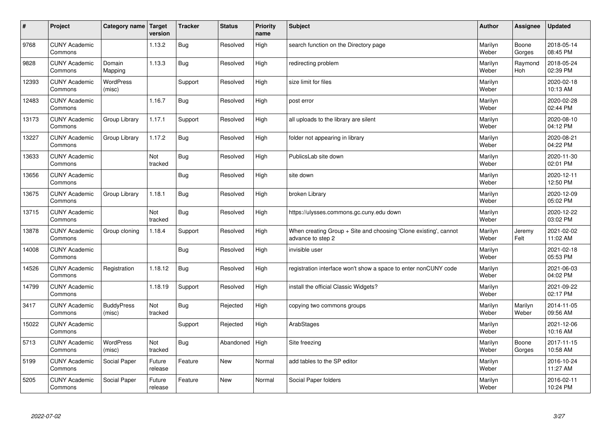| $\vert$ # | Project                         | Category name   Target      | version           | <b>Tracker</b> | <b>Status</b> | <b>Priority</b><br>name | <b>Subject</b>                                                                        | <b>Author</b>    | Assignee              | <b>Updated</b>         |
|-----------|---------------------------------|-----------------------------|-------------------|----------------|---------------|-------------------------|---------------------------------------------------------------------------------------|------------------|-----------------------|------------------------|
| 9768      | <b>CUNY Academic</b><br>Commons |                             | 1.13.2            | Bug            | Resolved      | High                    | search function on the Directory page                                                 | Marilyn<br>Weber | Boone<br>Gorges       | 2018-05-14<br>08:45 PM |
| 9828      | <b>CUNY Academic</b><br>Commons | Domain<br>Mapping           | 1.13.3            | Bug            | Resolved      | High                    | redirecting problem                                                                   | Marilyn<br>Weber | Raymond<br><b>Hoh</b> | 2018-05-24<br>02:39 PM |
| 12393     | <b>CUNY Academic</b><br>Commons | <b>WordPress</b><br>(misc)  |                   | Support        | Resolved      | High                    | size limit for files                                                                  | Marilyn<br>Weber |                       | 2020-02-18<br>10:13 AM |
| 12483     | <b>CUNY Academic</b><br>Commons |                             | 1.16.7            | <b>Bug</b>     | Resolved      | High                    | post error                                                                            | Marilyn<br>Weber |                       | 2020-02-28<br>02:44 PM |
| 13173     | <b>CUNY Academic</b><br>Commons | Group Library               | 1.17.1            | Support        | Resolved      | High                    | all uploads to the library are silent                                                 | Marilyn<br>Weber |                       | 2020-08-10<br>04:12 PM |
| 13227     | <b>CUNY Academic</b><br>Commons | Group Library               | 1.17.2            | Bug            | Resolved      | High                    | folder not appearing in library                                                       | Marilyn<br>Weber |                       | 2020-08-21<br>04:22 PM |
| 13633     | <b>CUNY Academic</b><br>Commons |                             | Not<br>tracked    | <b>Bug</b>     | Resolved      | High                    | PublicsLab site down                                                                  | Marilyn<br>Weber |                       | 2020-11-30<br>02:01 PM |
| 13656     | <b>CUNY Academic</b><br>Commons |                             |                   | <b>Bug</b>     | Resolved      | High                    | site down                                                                             | Marilyn<br>Weber |                       | 2020-12-11<br>12:50 PM |
| 13675     | <b>CUNY Academic</b><br>Commons | Group Library               | 1.18.1            | <b>Bug</b>     | Resolved      | High                    | broken Library                                                                        | Marilyn<br>Weber |                       | 2020-12-09<br>05:02 PM |
| 13715     | <b>CUNY Academic</b><br>Commons |                             | Not<br>tracked    | <b>Bug</b>     | Resolved      | High                    | https://ulysses.commons.gc.cuny.edu down                                              | Marilyn<br>Weber |                       | 2020-12-22<br>03:02 PM |
| 13878     | <b>CUNY Academic</b><br>Commons | Group cloning               | 1.18.4            | Support        | Resolved      | High                    | When creating Group + Site and choosing 'Clone existing', cannot<br>advance to step 2 | Marilyn<br>Weber | Jeremy<br>Felt        | 2021-02-02<br>11:02 AM |
| 14008     | <b>CUNY Academic</b><br>Commons |                             |                   | Bug            | Resolved      | High                    | invisible user                                                                        | Marilyn<br>Weber |                       | 2021-02-18<br>05:53 PM |
| 14526     | <b>CUNY Academic</b><br>Commons | Registration                | 1.18.12           | Bug            | Resolved      | High                    | registration interface won't show a space to enter nonCUNY code                       | Marilyn<br>Weber |                       | 2021-06-03<br>04:02 PM |
| 14799     | <b>CUNY Academic</b><br>Commons |                             | 1.18.19           | Support        | Resolved      | High                    | install the official Classic Widgets?                                                 | Marilyn<br>Weber |                       | 2021-09-22<br>02:17 PM |
| 3417      | <b>CUNY Academic</b><br>Commons | <b>BuddyPress</b><br>(misc) | Not<br>tracked    | <b>Bug</b>     | Rejected      | High                    | copying two commons groups                                                            | Marilyn<br>Weber | Marilyn<br>Weber      | 2014-11-05<br>09:56 AM |
| 15022     | <b>CUNY Academic</b><br>Commons |                             |                   | Support        | Rejected      | High                    | ArabStages                                                                            | Marilyn<br>Weber |                       | 2021-12-06<br>10:16 AM |
| 5713      | <b>CUNY Academic</b><br>Commons | WordPress<br>(misc)         | Not<br>tracked    | <b>Bug</b>     | Abandoned     | High                    | Site freezing                                                                         | Marilyn<br>Weber | Boone<br>Gorges       | 2017-11-15<br>10:58 AM |
| 5199      | <b>CUNY Academic</b><br>Commons | Social Paper                | Future<br>release | Feature        | <b>New</b>    | Normal                  | add tables to the SP editor                                                           | Marilyn<br>Weber |                       | 2016-10-24<br>11:27 AM |
| 5205      | <b>CUNY Academic</b><br>Commons | Social Paper                | Future<br>release | Feature        | <b>New</b>    | Normal                  | Social Paper folders                                                                  | Marilyn<br>Weber |                       | 2016-02-11<br>10:24 PM |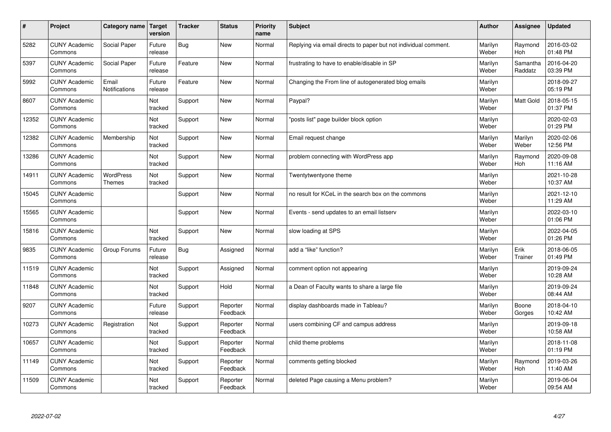| $\#$  | Project                         | Category name                 | Target<br>version | <b>Tracker</b> | <b>Status</b>        | <b>Priority</b><br>name | <b>Subject</b>                                                  | <b>Author</b>    | Assignee              | <b>Updated</b>         |
|-------|---------------------------------|-------------------------------|-------------------|----------------|----------------------|-------------------------|-----------------------------------------------------------------|------------------|-----------------------|------------------------|
| 5282  | <b>CUNY Academic</b><br>Commons | Social Paper                  | Future<br>release | <b>Bug</b>     | <b>New</b>           | Normal                  | Replying via email directs to paper but not individual comment. | Marilyn<br>Weber | Raymond<br><b>Hoh</b> | 2016-03-02<br>01:48 PM |
| 5397  | <b>CUNY Academic</b><br>Commons | Social Paper                  | Future<br>release | Feature        | <b>New</b>           | Normal                  | frustrating to have to enable/disable in SP                     | Marilyn<br>Weber | Samantha<br>Raddatz   | 2016-04-20<br>03:39 PM |
| 5992  | <b>CUNY Academic</b><br>Commons | Email<br><b>Notifications</b> | Future<br>release | Feature        | <b>New</b>           | Normal                  | Changing the From line of autogenerated blog emails             | Marilyn<br>Weber |                       | 2018-09-27<br>05:19 PM |
| 8607  | <b>CUNY Academic</b><br>Commons |                               | Not<br>tracked    | Support        | <b>New</b>           | Normal                  | Paypal?                                                         | Marilyn<br>Weber | <b>Matt Gold</b>      | 2018-05-15<br>01:37 PM |
| 12352 | <b>CUNY Academic</b><br>Commons |                               | Not<br>tracked    | Support        | <b>New</b>           | Normal                  | posts list" page builder block option                           | Marilyn<br>Weber |                       | 2020-02-03<br>01:29 PM |
| 12382 | <b>CUNY Academic</b><br>Commons | Membership                    | Not<br>tracked    | Support        | <b>New</b>           | Normal                  | Email request change                                            | Marilyn<br>Weber | Marilyn<br>Weber      | 2020-02-06<br>12:56 PM |
| 13286 | <b>CUNY Academic</b><br>Commons |                               | Not<br>tracked    | Support        | <b>New</b>           | Normal                  | problem connecting with WordPress app                           | Marilyn<br>Weber | Raymond<br>Hoh        | 2020-09-08<br>11:16 AM |
| 14911 | <b>CUNY Academic</b><br>Commons | WordPress<br><b>Themes</b>    | Not<br>tracked    | Support        | <b>New</b>           | Normal                  | Twentytwentyone theme                                           | Marilyn<br>Weber |                       | 2021-10-28<br>10:37 AM |
| 15045 | <b>CUNY Academic</b><br>Commons |                               |                   | Support        | New                  | Normal                  | no result for KCeL in the search box on the commons             | Marilyn<br>Weber |                       | 2021-12-10<br>11:29 AM |
| 15565 | <b>CUNY Academic</b><br>Commons |                               |                   | Support        | <b>New</b>           | Normal                  | Events - send updates to an email listserv                      | Marilyn<br>Weber |                       | 2022-03-10<br>01:06 PM |
| 15816 | <b>CUNY Academic</b><br>Commons |                               | Not<br>tracked    | Support        | <b>New</b>           | Normal                  | slow loading at SPS                                             | Marilyn<br>Weber |                       | 2022-04-05<br>01:26 PM |
| 9835  | <b>CUNY Academic</b><br>Commons | Group Forums                  | Future<br>release | <b>Bug</b>     | Assigned             | Normal                  | add a "like" function?                                          | Marilyn<br>Weber | Erik<br>Trainer       | 2018-06-05<br>01:49 PM |
| 11519 | <b>CUNY Academic</b><br>Commons |                               | Not<br>tracked    | Support        | Assigned             | Normal                  | comment option not appearing                                    | Marilyn<br>Weber |                       | 2019-09-24<br>10:28 AM |
| 11848 | <b>CUNY Academic</b><br>Commons |                               | Not<br>tracked    | Support        | Hold                 | Normal                  | a Dean of Faculty wants to share a large file                   | Marilyn<br>Weber |                       | 2019-09-24<br>08:44 AM |
| 9207  | <b>CUNY Academic</b><br>Commons |                               | Future<br>release | Support        | Reporter<br>Feedback | Normal                  | display dashboards made in Tableau?                             | Marilyn<br>Weber | Boone<br>Gorges       | 2018-04-10<br>10:42 AM |
| 10273 | <b>CUNY Academic</b><br>Commons | Registration                  | Not<br>tracked    | Support        | Reporter<br>Feedback | Normal                  | users combining CF and campus address                           | Marilyn<br>Weber |                       | 2019-09-18<br>10:58 AM |
| 10657 | <b>CUNY Academic</b><br>Commons |                               | Not<br>tracked    | Support        | Reporter<br>Feedback | Normal                  | child theme problems                                            | Marilyn<br>Weber |                       | 2018-11-08<br>01:19 PM |
| 11149 | <b>CUNY Academic</b><br>Commons |                               | Not<br>tracked    | Support        | Reporter<br>Feedback | Normal                  | comments getting blocked                                        | Marilyn<br>Weber | Raymond<br>Hoh        | 2019-03-26<br>11:40 AM |
| 11509 | <b>CUNY Academic</b><br>Commons |                               | Not<br>tracked    | Support        | Reporter<br>Feedback | Normal                  | deleted Page causing a Menu problem?                            | Marilyn<br>Weber |                       | 2019-06-04<br>09:54 AM |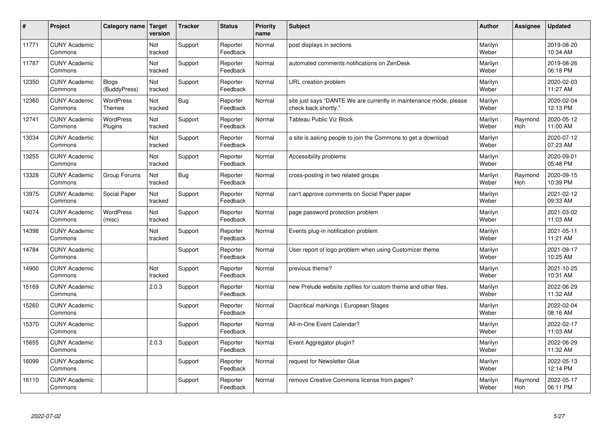| #     | Project                         | Category name                     | Target<br>version | <b>Tracker</b> | <b>Status</b>        | <b>Priority</b><br>name | <b>Subject</b>                                                                             | <b>Author</b>    | Assignee       | <b>Updated</b>         |
|-------|---------------------------------|-----------------------------------|-------------------|----------------|----------------------|-------------------------|--------------------------------------------------------------------------------------------|------------------|----------------|------------------------|
| 11771 | <b>CUNY Academic</b><br>Commons |                                   | Not<br>tracked    | Support        | Reporter<br>Feedback | Normal                  | post displays in sections                                                                  | Marilyn<br>Weber |                | 2019-08-20<br>10:34 AM |
| 11787 | <b>CUNY Academic</b><br>Commons |                                   | Not<br>tracked    | Support        | Reporter<br>Feedback | Normal                  | automated comments notifications on ZenDesk                                                | Marilyn<br>Weber |                | 2019-08-26<br>06:18 PM |
| 12350 | <b>CUNY Academic</b><br>Commons | <b>Blogs</b><br>(BuddyPress)      | Not<br>tracked    | Support        | Reporter<br>Feedback | Normal                  | URL creation problem                                                                       | Marilyn<br>Weber |                | 2020-02-03<br>11:27 AM |
| 12360 | <b>CUNY Academic</b><br>Commons | <b>WordPress</b><br><b>Themes</b> | Not<br>tracked    | <b>Bug</b>     | Reporter<br>Feedback | Normal                  | site just says "DANTE We are currently in maintenance mode, please<br>check back shortly." | Marilyn<br>Weber |                | 2020-02-04<br>12:13 PM |
| 12741 | <b>CUNY Academic</b><br>Commons | <b>WordPress</b><br>Plugins       | Not<br>tracked    | Support        | Reporter<br>Feedback | Normal                  | <b>Tableau Public Viz Block</b>                                                            | Marilyn<br>Weber | Raymond<br>Hoh | 2020-05-12<br>11:00 AM |
| 13034 | <b>CUNY Academic</b><br>Commons |                                   | Not<br>tracked    | Support        | Reporter<br>Feedback | Normal                  | a site is asking people to join the Commons to get a download                              | Marilyn<br>Weber |                | 2020-07-12<br>07:23 AM |
| 13255 | <b>CUNY Academic</b><br>Commons |                                   | Not<br>tracked    | Support        | Reporter<br>Feedback | Normal                  | Accessibility problems                                                                     | Marilyn<br>Weber |                | 2020-09-01<br>05:48 PM |
| 13328 | <b>CUNY Academic</b><br>Commons | Group Forums                      | Not<br>tracked    | <b>Bug</b>     | Reporter<br>Feedback | Normal                  | cross-posting in two related groups                                                        | Marilyn<br>Weber | Raymond<br>Hoh | 2020-09-15<br>10:39 PM |
| 13975 | <b>CUNY Academic</b><br>Commons | Social Paper                      | Not<br>tracked    | Support        | Reporter<br>Feedback | Normal                  | can't approve comments on Social Paper paper                                               | Marilyn<br>Weber |                | 2021-02-12<br>09:33 AM |
| 14074 | <b>CUNY Academic</b><br>Commons | <b>WordPress</b><br>(misc)        | Not<br>tracked    | Support        | Reporter<br>Feedback | Normal                  | page password protection problem                                                           | Marilyn<br>Weber |                | 2021-03-02<br>11:03 AM |
| 14398 | <b>CUNY Academic</b><br>Commons |                                   | Not<br>tracked    | Support        | Reporter<br>Feedback | Normal                  | Events plug-in notification problem                                                        | Marilyn<br>Weber |                | 2021-05-11<br>11:21 AM |
| 14784 | <b>CUNY Academic</b><br>Commons |                                   |                   | Support        | Reporter<br>Feedback | Normal                  | User report of logo problem when using Customizer theme                                    | Marilyn<br>Weber |                | 2021-09-17<br>10:25 AM |
| 14900 | <b>CUNY Academic</b><br>Commons |                                   | Not<br>tracked    | Support        | Reporter<br>Feedback | Normal                  | previous theme?                                                                            | Marilyn<br>Weber |                | 2021-10-25<br>10:31 AM |
| 15169 | <b>CUNY Academic</b><br>Commons |                                   | 2.0.3             | Support        | Reporter<br>Feedback | Normal                  | new Prelude website zipfiles for custom theme and other files.                             | Marilyn<br>Weber |                | 2022-06-29<br>11:32 AM |
| 15260 | <b>CUNY Academic</b><br>Commons |                                   |                   | Support        | Reporter<br>Feedback | Normal                  | Diacritical markings   European Stages                                                     | Marilyn<br>Weber |                | 2022-02-04<br>08:16 AM |
| 15370 | <b>CUNY Academic</b><br>Commons |                                   |                   | Support        | Reporter<br>Feedback | Normal                  | All-in-One Event Calendar?                                                                 | Marilyn<br>Weber |                | 2022-02-17<br>11:03 AM |
| 15655 | <b>CUNY Academic</b><br>Commons |                                   | 2.0.3             | Support        | Reporter<br>Feedback | Normal                  | Event Aggregator plugin?                                                                   | Marilyn<br>Weber |                | 2022-06-29<br>11:32 AM |
| 16099 | <b>CUNY Academic</b><br>Commons |                                   |                   | Support        | Reporter<br>Feedback | Normal                  | request for Newsletter Glue                                                                | Marilyn<br>Weber |                | 2022-05-13<br>12:14 PM |
| 16110 | <b>CUNY Academic</b><br>Commons |                                   |                   | Support        | Reporter<br>Feedback | Normal                  | remove Creative Commons license from pages?                                                | Marilyn<br>Weber | Raymond<br>Hoh | 2022-05-17<br>06:11 PM |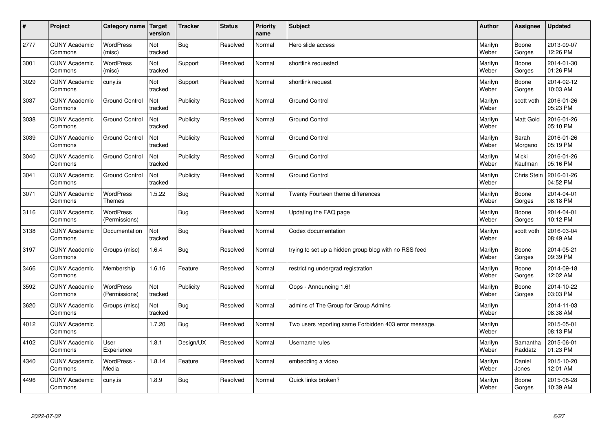| $\sharp$ | Project                         | Category name   Target            | version        | <b>Tracker</b> | <b>Status</b> | <b>Priority</b><br>name | <b>Subject</b>                                        | <b>Author</b>    | Assignee            | <b>Updated</b>         |
|----------|---------------------------------|-----------------------------------|----------------|----------------|---------------|-------------------------|-------------------------------------------------------|------------------|---------------------|------------------------|
| 2777     | <b>CUNY Academic</b><br>Commons | <b>WordPress</b><br>(misc)        | Not<br>tracked | Bug            | Resolved      | Normal                  | Hero slide access                                     | Marilyn<br>Weber | Boone<br>Gorges     | 2013-09-07<br>12:26 PM |
| 3001     | <b>CUNY Academic</b><br>Commons | WordPress<br>(misc)               | Not<br>tracked | Support        | Resolved      | Normal                  | shortlink requested                                   | Marilyn<br>Weber | Boone<br>Gorges     | 2014-01-30<br>01:26 PM |
| 3029     | <b>CUNY Academic</b><br>Commons | cuny.is                           | Not<br>tracked | Support        | Resolved      | Normal                  | shortlink request                                     | Marilyn<br>Weber | Boone<br>Gorges     | 2014-02-12<br>10:03 AM |
| 3037     | <b>CUNY Academic</b><br>Commons | <b>Ground Control</b>             | Not<br>tracked | Publicity      | Resolved      | Normal                  | <b>Ground Control</b>                                 | Marilyn<br>Weber | scott voth          | 2016-01-26<br>05:23 PM |
| 3038     | <b>CUNY Academic</b><br>Commons | <b>Ground Control</b>             | Not<br>tracked | Publicity      | Resolved      | Normal                  | <b>Ground Control</b>                                 | Marilyn<br>Weber | Matt Gold           | 2016-01-26<br>05:10 PM |
| 3039     | <b>CUNY Academic</b><br>Commons | <b>Ground Control</b>             | Not<br>tracked | Publicity      | Resolved      | Normal                  | <b>Ground Control</b>                                 | Marilyn<br>Weber | Sarah<br>Morgano    | 2016-01-26<br>05:19 PM |
| 3040     | <b>CUNY Academic</b><br>Commons | <b>Ground Control</b>             | Not<br>tracked | Publicity      | Resolved      | Normal                  | <b>Ground Control</b>                                 | Marilyn<br>Weber | Micki<br>Kaufman    | 2016-01-26<br>05:16 PM |
| 3041     | <b>CUNY Academic</b><br>Commons | <b>Ground Control</b>             | Not<br>tracked | Publicity      | Resolved      | Normal                  | <b>Ground Control</b>                                 | Marilyn<br>Weber | Chris Stein         | 2016-01-26<br>04:52 PM |
| 3071     | <b>CUNY Academic</b><br>Commons | <b>WordPress</b><br><b>Themes</b> | 1.5.22         | Bug            | Resolved      | Normal                  | Twenty Fourteen theme differences                     | Marilyn<br>Weber | Boone<br>Gorges     | 2014-04-01<br>08:18 PM |
| 3116     | <b>CUNY Academic</b><br>Commons | WordPress<br>(Permissions)        |                | <b>Bug</b>     | Resolved      | Normal                  | Updating the FAQ page                                 | Marilyn<br>Weber | Boone<br>Gorges     | 2014-04-01<br>10:12 PM |
| 3138     | <b>CUNY Academic</b><br>Commons | Documentation                     | Not<br>tracked | <b>Bug</b>     | Resolved      | Normal                  | Codex documentation                                   | Marilyn<br>Weber | scott voth          | 2016-03-04<br>08:49 AM |
| 3197     | <b>CUNY Academic</b><br>Commons | Groups (misc)                     | 1.6.4          | <b>Bug</b>     | Resolved      | Normal                  | trying to set up a hidden group blog with no RSS feed | Marilyn<br>Weber | Boone<br>Gorges     | 2014-05-21<br>09:39 PM |
| 3466     | <b>CUNY Academic</b><br>Commons | Membership                        | 1.6.16         | Feature        | Resolved      | Normal                  | restricting undergrad registration                    | Marilyn<br>Weber | Boone<br>Gorges     | 2014-09-18<br>12:02 AM |
| 3592     | <b>CUNY Academic</b><br>Commons | WordPress<br>(Permissions)        | Not<br>tracked | Publicity      | Resolved      | Normal                  | Oops - Announcing 1.6!                                | Marilyn<br>Weber | Boone<br>Gorges     | 2014-10-22<br>03:03 PM |
| 3620     | <b>CUNY Academic</b><br>Commons | Groups (misc)                     | Not<br>tracked | Bug            | Resolved      | Normal                  | admins of The Group for Group Admins                  | Marilyn<br>Weber |                     | 2014-11-03<br>08:38 AM |
| 4012     | <b>CUNY Academic</b><br>Commons |                                   | 1.7.20         | <b>Bug</b>     | Resolved      | Normal                  | Two users reporting same Forbidden 403 error message. | Marilyn<br>Weber |                     | 2015-05-01<br>08:13 PM |
| 4102     | <b>CUNY Academic</b><br>Commons | User<br>Experience                | 1.8.1          | Design/UX      | Resolved      | Normal                  | Username rules                                        | Marilyn<br>Weber | Samantha<br>Raddatz | 2015-06-01<br>01:23 PM |
| 4340     | <b>CUNY Academic</b><br>Commons | WordPress -<br>Media              | 1.8.14         | Feature        | Resolved      | Normal                  | embedding a video                                     | Marilyn<br>Weber | Daniel<br>Jones     | 2015-10-20<br>12:01 AM |
| 4496     | <b>CUNY Academic</b><br>Commons | cuny.is                           | 1.8.9          | Bug            | Resolved      | Normal                  | Quick links broken?                                   | Marilyn<br>Weber | Boone<br>Gorges     | 2015-08-28<br>10:39 AM |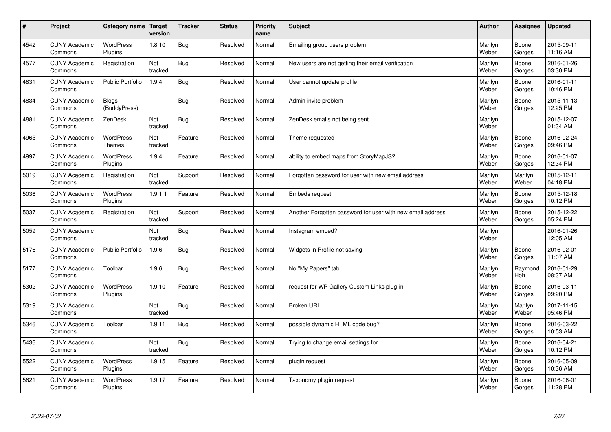| $\sharp$ | Project                         | Category name               | <b>Target</b><br>version | <b>Tracker</b> | <b>Status</b> | <b>Priority</b><br>name | <b>Subject</b>                                             | <b>Author</b>    | Assignee         | <b>Updated</b>         |
|----------|---------------------------------|-----------------------------|--------------------------|----------------|---------------|-------------------------|------------------------------------------------------------|------------------|------------------|------------------------|
| 4542     | <b>CUNY Academic</b><br>Commons | <b>WordPress</b><br>Plugins | 1.8.10                   | Bug            | Resolved      | Normal                  | Emailing group users problem                               | Marilyn<br>Weber | Boone<br>Gorges  | 2015-09-11<br>11:16 AM |
| 4577     | <b>CUNY Academic</b><br>Commons | Registration                | Not<br>tracked           | Bug            | Resolved      | Normal                  | New users are not getting their email verification         | Marilyn<br>Weber | Boone<br>Gorges  | 2016-01-26<br>03:30 PM |
| 4831     | <b>CUNY Academic</b><br>Commons | <b>Public Portfolio</b>     | 1.9.4                    | Bug            | Resolved      | Normal                  | User cannot update profile                                 | Marilyn<br>Weber | Boone<br>Gorges  | 2016-01-11<br>10:46 PM |
| 4834     | <b>CUNY Academic</b><br>Commons | Blogs<br>(BuddyPress)       |                          | Bug            | Resolved      | Normal                  | Admin invite problem                                       | Marilyn<br>Weber | Boone<br>Gorges  | 2015-11-13<br>12:25 PM |
| 4881     | <b>CUNY Academic</b><br>Commons | ZenDesk                     | Not<br>tracked           | Bug            | Resolved      | Normal                  | ZenDesk emails not being sent                              | Marilyn<br>Weber |                  | 2015-12-07<br>01:34 AM |
| 4965     | <b>CUNY Academic</b><br>Commons | WordPress<br><b>Themes</b>  | Not<br>tracked           | Feature        | Resolved      | Normal                  | Theme requested                                            | Marilyn<br>Weber | Boone<br>Gorges  | 2016-02-24<br>09:46 PM |
| 4997     | <b>CUNY Academic</b><br>Commons | <b>WordPress</b><br>Plugins | 1.9.4                    | Feature        | Resolved      | Normal                  | ability to embed maps from StoryMapJS?                     | Marilyn<br>Weber | Boone<br>Gorges  | 2016-01-07<br>12:34 PM |
| 5019     | <b>CUNY Academic</b><br>Commons | Registration                | Not<br>tracked           | Support        | Resolved      | Normal                  | Forgotten password for user with new email address         | Marilyn<br>Weber | Marilyn<br>Weber | 2015-12-11<br>04:18 PM |
| 5036     | <b>CUNY Academic</b><br>Commons | <b>WordPress</b><br>Plugins | 1.9.1.1                  | Feature        | Resolved      | Normal                  | Embeds request                                             | Marilyn<br>Weber | Boone<br>Gorges  | 2015-12-18<br>10:12 PM |
| 5037     | <b>CUNY Academic</b><br>Commons | Registration                | Not<br>tracked           | Support        | Resolved      | Normal                  | Another Forgotten password for user with new email address | Marilyn<br>Weber | Boone<br>Gorges  | 2015-12-22<br>05:24 PM |
| 5059     | <b>CUNY Academic</b><br>Commons |                             | Not<br>tracked           | <b>Bug</b>     | Resolved      | Normal                  | Instagram embed?                                           | Marilyn<br>Weber |                  | 2016-01-26<br>12:05 AM |
| 5176     | <b>CUNY Academic</b><br>Commons | <b>Public Portfolio</b>     | 1.9.6                    | Bug            | Resolved      | Normal                  | Widgets in Profile not saving                              | Marilyn<br>Weber | Boone<br>Gorges  | 2016-02-01<br>11:07 AM |
| 5177     | <b>CUNY Academic</b><br>Commons | Toolbar                     | 1.9.6                    | Bug            | Resolved      | Normal                  | No "My Papers" tab                                         | Marilyn<br>Weber | Raymond<br>Hoh   | 2016-01-29<br>08:37 AM |
| 5302     | <b>CUNY Academic</b><br>Commons | WordPress<br>Plugins        | 1.9.10                   | Feature        | Resolved      | Normal                  | request for WP Gallery Custom Links plug-in                | Marilyn<br>Weber | Boone<br>Gorges  | 2016-03-11<br>09:20 PM |
| 5319     | <b>CUNY Academic</b><br>Commons |                             | Not<br>tracked           | <b>Bug</b>     | Resolved      | Normal                  | <b>Broken URL</b>                                          | Marilyn<br>Weber | Marilyn<br>Weber | 2017-11-15<br>05:46 PM |
| 5346     | <b>CUNY Academic</b><br>Commons | Toolbar                     | 1.9.11                   | Bug            | Resolved      | Normal                  | possible dynamic HTML code bug?                            | Marilyn<br>Weber | Boone<br>Gorges  | 2016-03-22<br>10:53 AM |
| 5436     | <b>CUNY Academic</b><br>Commons |                             | Not<br>tracked           | <b>Bug</b>     | Resolved      | Normal                  | Trying to change email settings for                        | Marilyn<br>Weber | Boone<br>Gorges  | 2016-04-21<br>10:12 PM |
| 5522     | <b>CUNY Academic</b><br>Commons | <b>WordPress</b><br>Plugins | 1.9.15                   | Feature        | Resolved      | Normal                  | plugin request                                             | Marilyn<br>Weber | Boone<br>Gorges  | 2016-05-09<br>10:36 AM |
| 5621     | <b>CUNY Academic</b><br>Commons | <b>WordPress</b><br>Plugins | 1.9.17                   | Feature        | Resolved      | Normal                  | Taxonomy plugin request                                    | Marilyn<br>Weber | Boone<br>Gorges  | 2016-06-01<br>11:28 PM |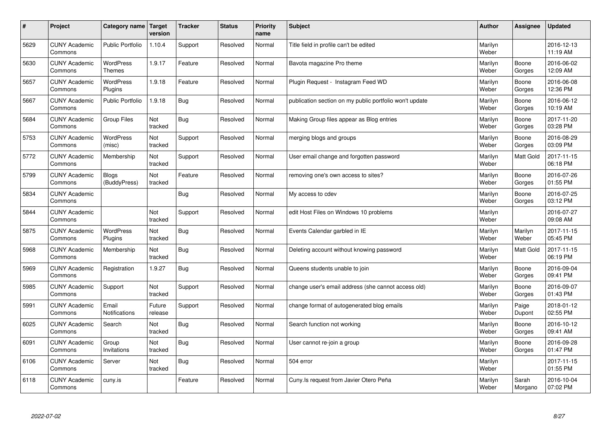| $\sharp$ | Project                         | Category name                     | Target<br>version | <b>Tracker</b> | <b>Status</b> | <b>Priority</b><br>name | <b>Subject</b>                                          | <b>Author</b>    | Assignee         | <b>Updated</b>         |
|----------|---------------------------------|-----------------------------------|-------------------|----------------|---------------|-------------------------|---------------------------------------------------------|------------------|------------------|------------------------|
| 5629     | <b>CUNY Academic</b><br>Commons | <b>Public Portfolio</b>           | 1.10.4            | Support        | Resolved      | Normal                  | Title field in profile can't be edited                  | Marilyn<br>Weber |                  | 2016-12-13<br>11:19 AM |
| 5630     | <b>CUNY Academic</b><br>Commons | <b>WordPress</b><br><b>Themes</b> | 1.9.17            | Feature        | Resolved      | Normal                  | Bavota magazine Pro theme                               | Marilyn<br>Weber | Boone<br>Gorges  | 2016-06-02<br>12:09 AM |
| 5657     | <b>CUNY Academic</b><br>Commons | <b>WordPress</b><br>Plugins       | 1.9.18            | Feature        | Resolved      | Normal                  | Plugin Request - Instagram Feed WD                      | Marilyn<br>Weber | Boone<br>Gorges  | 2016-06-08<br>12:36 PM |
| 5667     | <b>CUNY Academic</b><br>Commons | <b>Public Portfolio</b>           | 1.9.18            | <b>Bug</b>     | Resolved      | Normal                  | publication section on my public portfolio won't update | Marilyn<br>Weber | Boone<br>Gorges  | 2016-06-12<br>10:19 AM |
| 5684     | <b>CUNY Academic</b><br>Commons | Group Files                       | Not<br>tracked    | Bug            | Resolved      | Normal                  | Making Group files appear as Blog entries               | Marilyn<br>Weber | Boone<br>Gorges  | 2017-11-20<br>03:28 PM |
| 5753     | <b>CUNY Academic</b><br>Commons | WordPress<br>(misc)               | Not<br>tracked    | Support        | Resolved      | Normal                  | merging blogs and groups                                | Marilyn<br>Weber | Boone<br>Gorges  | 2016-08-29<br>03:09 PM |
| 5772     | <b>CUNY Academic</b><br>Commons | Membership                        | Not<br>tracked    | Support        | Resolved      | Normal                  | User email change and forgotten password                | Marilyn<br>Weber | Matt Gold        | 2017-11-15<br>06:18 PM |
| 5799     | <b>CUNY Academic</b><br>Commons | <b>Blogs</b><br>(BuddyPress)      | Not<br>tracked    | Feature        | Resolved      | Normal                  | removing one's own access to sites?                     | Marilyn<br>Weber | Boone<br>Gorges  | 2016-07-26<br>01:55 PM |
| 5834     | <b>CUNY Academic</b><br>Commons |                                   |                   | Bug            | Resolved      | Normal                  | My access to cdev                                       | Marilyn<br>Weber | Boone<br>Gorges  | 2016-07-25<br>03:12 PM |
| 5844     | <b>CUNY Academic</b><br>Commons |                                   | Not<br>tracked    | Support        | Resolved      | Normal                  | edit Host Files on Windows 10 problems                  | Marilyn<br>Weber |                  | 2016-07-27<br>09:08 AM |
| 5875     | <b>CUNY Academic</b><br>Commons | <b>WordPress</b><br>Plugins       | Not<br>tracked    | <b>Bug</b>     | Resolved      | Normal                  | Events Calendar garbled in IE                           | Marilyn<br>Weber | Marilyn<br>Weber | 2017-11-15<br>05:45 PM |
| 5968     | <b>CUNY Academic</b><br>Commons | Membership                        | Not<br>tracked    | <b>Bug</b>     | Resolved      | Normal                  | Deleting account without knowing password               | Marilyn<br>Weber | <b>Matt Gold</b> | 2017-11-15<br>06:19 PM |
| 5969     | <b>CUNY Academic</b><br>Commons | Registration                      | 1.9.27            | Bug            | Resolved      | Normal                  | Queens students unable to join                          | Marilyn<br>Weber | Boone<br>Gorges  | 2016-09-04<br>09:41 PM |
| 5985     | <b>CUNY Academic</b><br>Commons | Support                           | Not<br>tracked    | Support        | Resolved      | Normal                  | change user's email address (she cannot access old)     | Marilyn<br>Weber | Boone<br>Gorges  | 2016-09-07<br>01:43 PM |
| 5991     | <b>CUNY Academic</b><br>Commons | Email<br>Notifications            | Future<br>release | Support        | Resolved      | Normal                  | change format of autogenerated blog emails              | Marilyn<br>Weber | Paige<br>Dupont  | 2018-01-12<br>02:55 PM |
| 6025     | <b>CUNY Academic</b><br>Commons | Search                            | Not<br>tracked    | <b>Bug</b>     | Resolved      | Normal                  | Search function not working                             | Marilyn<br>Weber | Boone<br>Gorges  | 2016-10-12<br>09:41 AM |
| 6091     | <b>CUNY Academic</b><br>Commons | Group<br>Invitations              | Not<br>tracked    | Bug            | Resolved      | Normal                  | User cannot re-join a group                             | Marilyn<br>Weber | Boone<br>Gorges  | 2016-09-28<br>01:47 PM |
| 6106     | <b>CUNY Academic</b><br>Commons | Server                            | Not<br>tracked    | Bug            | Resolved      | Normal                  | 504 error                                               | Marilyn<br>Weber |                  | 2017-11-15<br>01:55 PM |
| 6118     | <b>CUNY Academic</b><br>Commons | cuny.is                           |                   | Feature        | Resolved      | Normal                  | Cuny. Is request from Javier Otero Peña                 | Marilyn<br>Weber | Sarah<br>Morgano | 2016-10-04<br>07:02 PM |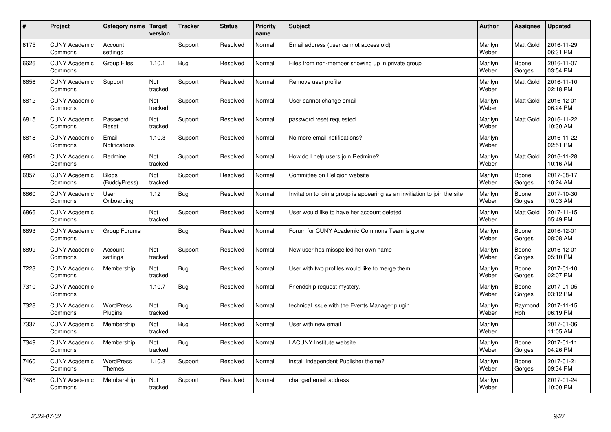| $\pmb{\#}$ | Project                         | Category name                | Target<br>version | <b>Tracker</b> | <b>Status</b> | <b>Priority</b><br>name | <b>Subject</b>                                                              | <b>Author</b>    | Assignee        | <b>Updated</b>         |
|------------|---------------------------------|------------------------------|-------------------|----------------|---------------|-------------------------|-----------------------------------------------------------------------------|------------------|-----------------|------------------------|
| 6175       | <b>CUNY Academic</b><br>Commons | Account<br>settings          |                   | Support        | Resolved      | Normal                  | Email address (user cannot access old)                                      | Marilyn<br>Weber | Matt Gold       | 2016-11-29<br>06:31 PM |
| 6626       | <b>CUNY Academic</b><br>Commons | Group Files                  | 1.10.1            | <b>Bug</b>     | Resolved      | Normal                  | Files from non-member showing up in private group                           | Marilyn<br>Weber | Boone<br>Gorges | 2016-11-07<br>03:54 PM |
| 6656       | <b>CUNY Academic</b><br>Commons | Support                      | Not<br>tracked    | Support        | Resolved      | Normal                  | Remove user profile                                                         | Marilyn<br>Weber | Matt Gold       | 2016-11-10<br>02:18 PM |
| 6812       | <b>CUNY Academic</b><br>Commons |                              | Not<br>tracked    | Support        | Resolved      | Normal                  | User cannot change email                                                    | Marilyn<br>Weber | Matt Gold       | 2016-12-01<br>06:24 PM |
| 6815       | <b>CUNY Academic</b><br>Commons | Password<br>Reset            | Not<br>tracked    | Support        | Resolved      | Normal                  | password reset requested                                                    | Marilyn<br>Weber | Matt Gold       | 2016-11-22<br>10:30 AM |
| 6818       | <b>CUNY Academic</b><br>Commons | Email<br>Notifications       | 1.10.3            | Support        | Resolved      | Normal                  | No more email notifications?                                                | Marilyn<br>Weber |                 | 2016-11-22<br>02:51 PM |
| 6851       | <b>CUNY Academic</b><br>Commons | Redmine                      | Not<br>tracked    | Support        | Resolved      | Normal                  | How do I help users join Redmine?                                           | Marilyn<br>Weber | Matt Gold       | 2016-11-28<br>10:16 AM |
| 6857       | <b>CUNY Academic</b><br>Commons | <b>Blogs</b><br>(BuddyPress) | Not<br>tracked    | Support        | Resolved      | Normal                  | Committee on Religion website                                               | Marilyn<br>Weber | Boone<br>Gorges | 2017-08-17<br>10:24 AM |
| 6860       | <b>CUNY Academic</b><br>Commons | User<br>Onboarding           | 1.12              | Bug            | Resolved      | Normal                  | Invitation to join a group is appearing as an invitiation to join the site! | Marilyn<br>Weber | Boone<br>Gorges | 2017-10-30<br>10:03 AM |
| 6866       | <b>CUNY Academic</b><br>Commons |                              | Not<br>tracked    | Support        | Resolved      | Normal                  | User would like to have her account deleted                                 | Marilyn<br>Weber | Matt Gold       | 2017-11-15<br>05:49 PM |
| 6893       | <b>CUNY Academic</b><br>Commons | Group Forums                 |                   | <b>Bug</b>     | Resolved      | Normal                  | Forum for CUNY Academic Commons Team is gone                                | Marilyn<br>Weber | Boone<br>Gorges | 2016-12-01<br>08:08 AM |
| 6899       | <b>CUNY Academic</b><br>Commons | Account<br>settings          | Not<br>tracked    | Support        | Resolved      | Normal                  | New user has misspelled her own name                                        | Marilyn<br>Weber | Boone<br>Gorges | 2016-12-01<br>05:10 PM |
| 7223       | <b>CUNY Academic</b><br>Commons | Membership                   | Not<br>tracked    | <b>Bug</b>     | Resolved      | Normal                  | User with two profiles would like to merge them                             | Marilyn<br>Weber | Boone<br>Gorges | 2017-01-10<br>02:07 PM |
| 7310       | <b>CUNY Academic</b><br>Commons |                              | 1.10.7            | <b>Bug</b>     | Resolved      | Normal                  | Friendship request mystery.                                                 | Marilyn<br>Weber | Boone<br>Gorges | 2017-01-05<br>03:12 PM |
| 7328       | <b>CUNY Academic</b><br>Commons | <b>WordPress</b><br>Plugins  | Not<br>tracked    | Bug            | Resolved      | Normal                  | technical issue with the Events Manager plugin                              | Marilyn<br>Weber | Raymond<br>Hoh  | 2017-11-15<br>06:19 PM |
| 7337       | <b>CUNY Academic</b><br>Commons | Membership                   | Not<br>tracked    | <b>Bug</b>     | Resolved      | Normal                  | User with new email                                                         | Marilyn<br>Weber |                 | 2017-01-06<br>11:05 AM |
| 7349       | <b>CUNY Academic</b><br>Commons | Membership                   | Not<br>tracked    | <b>Bug</b>     | Resolved      | Normal                  | <b>LACUNY Institute website</b>                                             | Marilyn<br>Weber | Boone<br>Gorges | 2017-01-11<br>04:26 PM |
| 7460       | <b>CUNY Academic</b><br>Commons | WordPress<br>Themes          | 1.10.8            | Support        | Resolved      | Normal                  | install Independent Publisher theme?                                        | Marilyn<br>Weber | Boone<br>Gorges | 2017-01-21<br>09:34 PM |
| 7486       | <b>CUNY Academic</b><br>Commons | Membership                   | Not<br>tracked    | Support        | Resolved      | Normal                  | changed email address                                                       | Marilyn<br>Weber |                 | 2017-01-24<br>10:00 PM |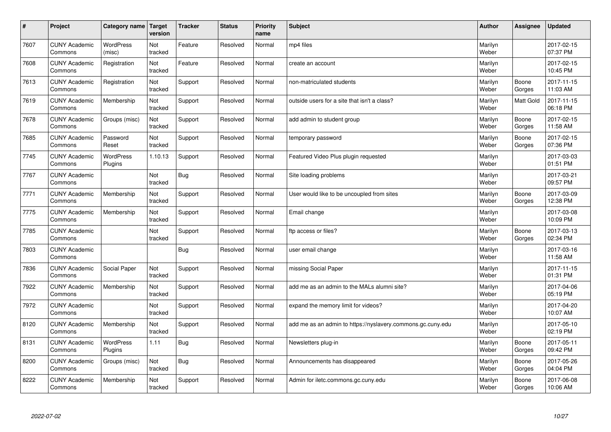| $\sharp$ | Project                         | Category name   Target     | version        | <b>Tracker</b> | <b>Status</b> | <b>Priority</b><br>name | <b>Subject</b>                                              | <b>Author</b>    | Assignee         | <b>Updated</b>         |
|----------|---------------------------------|----------------------------|----------------|----------------|---------------|-------------------------|-------------------------------------------------------------|------------------|------------------|------------------------|
| 7607     | <b>CUNY Academic</b><br>Commons | <b>WordPress</b><br>(misc) | Not<br>tracked | Feature        | Resolved      | Normal                  | mp4 files                                                   | Marilyn<br>Weber |                  | 2017-02-15<br>07:37 PM |
| 7608     | <b>CUNY Academic</b><br>Commons | Registration               | Not<br>tracked | Feature        | Resolved      | Normal                  | create an account                                           | Marilyn<br>Weber |                  | 2017-02-15<br>10:45 PM |
| 7613     | <b>CUNY Academic</b><br>Commons | Registration               | Not<br>tracked | Support        | Resolved      | Normal                  | non-matriculated students                                   | Marilyn<br>Weber | Boone<br>Gorges  | 2017-11-15<br>11:03 AM |
| 7619     | <b>CUNY Academic</b><br>Commons | Membership                 | Not<br>tracked | Support        | Resolved      | Normal                  | outside users for a site that isn't a class?                | Marilyn<br>Weber | <b>Matt Gold</b> | 2017-11-15<br>06:18 PM |
| 7678     | <b>CUNY Academic</b><br>Commons | Groups (misc)              | Not<br>tracked | Support        | Resolved      | Normal                  | add admin to student group                                  | Marilyn<br>Weber | Boone<br>Gorges  | 2017-02-15<br>11:58 AM |
| 7685     | <b>CUNY Academic</b><br>Commons | Password<br>Reset          | Not<br>tracked | Support        | Resolved      | Normal                  | temporary password                                          | Marilyn<br>Weber | Boone<br>Gorges  | 2017-02-15<br>07:36 PM |
| 7745     | <b>CUNY Academic</b><br>Commons | WordPress<br>Plugins       | 1.10.13        | Support        | Resolved      | Normal                  | Featured Video Plus plugin requested                        | Marilyn<br>Weber |                  | 2017-03-03<br>01:51 PM |
| 7767     | <b>CUNY Academic</b><br>Commons |                            | Not<br>tracked | Bug            | Resolved      | Normal                  | Site loading problems                                       | Marilyn<br>Weber |                  | 2017-03-21<br>09:57 PM |
| 7771     | <b>CUNY Academic</b><br>Commons | Membership                 | Not<br>tracked | Support        | Resolved      | Normal                  | User would like to be uncoupled from sites                  | Marilyn<br>Weber | Boone<br>Gorges  | 2017-03-09<br>12:38 PM |
| 7775     | <b>CUNY Academic</b><br>Commons | Membership                 | Not<br>tracked | Support        | Resolved      | Normal                  | Email change                                                | Marilyn<br>Weber |                  | 2017-03-08<br>10:09 PM |
| 7785     | <b>CUNY Academic</b><br>Commons |                            | Not<br>tracked | Support        | Resolved      | Normal                  | ftp access or files?                                        | Marilyn<br>Weber | Boone<br>Gorges  | 2017-03-13<br>02:34 PM |
| 7803     | <b>CUNY Academic</b><br>Commons |                            |                | Bug            | Resolved      | Normal                  | user email change                                           | Marilyn<br>Weber |                  | 2017-03-16<br>11:58 AM |
| 7836     | <b>CUNY Academic</b><br>Commons | Social Paper               | Not<br>tracked | Support        | Resolved      | Normal                  | missing Social Paper                                        | Marilyn<br>Weber |                  | 2017-11-15<br>01:31 PM |
| 7922     | <b>CUNY Academic</b><br>Commons | Membership                 | Not<br>tracked | Support        | Resolved      | Normal                  | add me as an admin to the MALs alumni site?                 | Marilyn<br>Weber |                  | 2017-04-06<br>05:19 PM |
| 7972     | <b>CUNY Academic</b><br>Commons |                            | Not<br>tracked | Support        | Resolved      | Normal                  | expand the memory limit for videos?                         | Marilyn<br>Weber |                  | 2017-04-20<br>10:07 AM |
| 8120     | <b>CUNY Academic</b><br>Commons | Membership                 | Not<br>tracked | Support        | Resolved      | Normal                  | add me as an admin to https://nyslavery.commons.gc.cuny.edu | Marilyn<br>Weber |                  | 2017-05-10<br>02:19 PM |
| 8131     | <b>CUNY Academic</b><br>Commons | WordPress<br>Plugins       | 1.11           | <b>Bug</b>     | Resolved      | Normal                  | Newsletters plug-in                                         | Marilyn<br>Weber | Boone<br>Gorges  | 2017-05-11<br>09:42 PM |
| 8200     | <b>CUNY Academic</b><br>Commons | Groups (misc)              | Not<br>tracked | Bug            | Resolved      | Normal                  | Announcements has disappeared                               | Marilyn<br>Weber | Boone<br>Gorges  | 2017-05-26<br>04:04 PM |
| 8222     | <b>CUNY Academic</b><br>Commons | Membership                 | Not<br>tracked | Support        | Resolved      | Normal                  | Admin for iletc.commons.gc.cuny.edu                         | Marilyn<br>Weber | Boone<br>Gorges  | 2017-06-08<br>10:06 AM |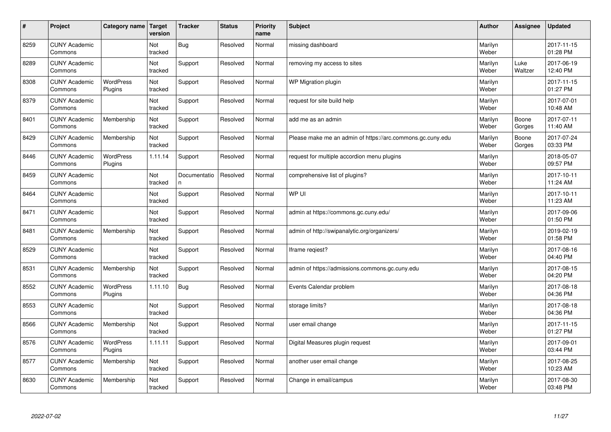| $\sharp$ | Project                         | Category name   Target      | version        | <b>Tracker</b>     | <b>Status</b> | <b>Priority</b><br>name | <b>Subject</b>                                             | <b>Author</b>    | Assignee        | <b>Updated</b>         |
|----------|---------------------------------|-----------------------------|----------------|--------------------|---------------|-------------------------|------------------------------------------------------------|------------------|-----------------|------------------------|
| 8259     | <b>CUNY Academic</b><br>Commons |                             | Not<br>tracked | Bug                | Resolved      | Normal                  | missing dashboard                                          | Marilyn<br>Weber |                 | 2017-11-15<br>01:28 PM |
| 8289     | <b>CUNY Academic</b><br>Commons |                             | Not<br>tracked | Support            | Resolved      | Normal                  | removing my access to sites                                | Marilyn<br>Weber | Luke<br>Waltzer | 2017-06-19<br>12:40 PM |
| 8308     | <b>CUNY Academic</b><br>Commons | <b>WordPress</b><br>Plugins | Not<br>tracked | Support            | Resolved      | Normal                  | WP Migration plugin                                        | Marilyn<br>Weber |                 | 2017-11-15<br>01:27 PM |
| 8379     | <b>CUNY Academic</b><br>Commons |                             | Not<br>tracked | Support            | Resolved      | Normal                  | request for site build help                                | Marilyn<br>Weber |                 | 2017-07-01<br>10:48 AM |
| 8401     | <b>CUNY Academic</b><br>Commons | Membership                  | Not<br>tracked | Support            | Resolved      | Normal                  | add me as an admin                                         | Marilyn<br>Weber | Boone<br>Gorges | 2017-07-11<br>11:40 AM |
| 8429     | <b>CUNY Academic</b><br>Commons | Membership                  | Not<br>tracked | Support            | Resolved      | Normal                  | Please make me an admin of https://arc.commons.gc.cuny.edu | Marilyn<br>Weber | Boone<br>Gorges | 2017-07-24<br>03:33 PM |
| 8446     | <b>CUNY Academic</b><br>Commons | <b>WordPress</b><br>Plugins | 1.11.14        | Support            | Resolved      | Normal                  | request for multiple accordion menu plugins                | Marilyn<br>Weber |                 | 2018-05-07<br>09:57 PM |
| 8459     | <b>CUNY Academic</b><br>Commons |                             | Not<br>tracked | Documentatio<br>n. | Resolved      | Normal                  | comprehensive list of plugins?                             | Marilyn<br>Weber |                 | 2017-10-11<br>11:24 AM |
| 8464     | <b>CUNY Academic</b><br>Commons |                             | Not<br>tracked | Support            | Resolved      | Normal                  | WP UI                                                      | Marilyn<br>Weber |                 | 2017-10-11<br>11:23 AM |
| 8471     | <b>CUNY Academic</b><br>Commons |                             | Not<br>tracked | Support            | Resolved      | Normal                  | admin at https://commons.gc.cuny.edu/                      | Marilyn<br>Weber |                 | 2017-09-06<br>01:50 PM |
| 8481     | <b>CUNY Academic</b><br>Commons | Membership                  | Not<br>tracked | Support            | Resolved      | Normal                  | admin of http://swipanalytic.org/organizers/               | Marilyn<br>Weber |                 | 2019-02-19<br>01:58 PM |
| 8529     | <b>CUNY Academic</b><br>Commons |                             | Not<br>tracked | Support            | Resolved      | Normal                  | Iframe regiest?                                            | Marilyn<br>Weber |                 | 2017-08-16<br>04:40 PM |
| 8531     | <b>CUNY Academic</b><br>Commons | Membership                  | Not<br>tracked | Support            | Resolved      | Normal                  | admin of https://admissions.commons.gc.cuny.edu            | Marilyn<br>Weber |                 | 2017-08-15<br>04:20 PM |
| 8552     | <b>CUNY Academic</b><br>Commons | WordPress<br>Plugins        | 1.11.10        | Bug                | Resolved      | Normal                  | Events Calendar problem                                    | Marilyn<br>Weber |                 | 2017-08-18<br>04:36 PM |
| 8553     | <b>CUNY Academic</b><br>Commons |                             | Not<br>tracked | Support            | Resolved      | Normal                  | storage limits?                                            | Marilyn<br>Weber |                 | 2017-08-18<br>04:36 PM |
| 8566     | <b>CUNY Academic</b><br>Commons | Membership                  | Not<br>tracked | Support            | Resolved      | Normal                  | user email change                                          | Marilyn<br>Weber |                 | 2017-11-15<br>01:27 PM |
| 8576     | <b>CUNY Academic</b><br>Commons | WordPress<br>Plugins        | 1.11.11        | Support            | Resolved      | Normal                  | Digital Measures plugin request                            | Marilyn<br>Weber |                 | 2017-09-01<br>03:44 PM |
| 8577     | <b>CUNY Academic</b><br>Commons | Membership                  | Not<br>tracked | Support            | Resolved      | Normal                  | another user email change                                  | Marilyn<br>Weber |                 | 2017-08-25<br>10:23 AM |
| 8630     | <b>CUNY Academic</b><br>Commons | Membership                  | Not<br>tracked | Support            | Resolved      | Normal                  | Change in email/campus                                     | Marilyn<br>Weber |                 | 2017-08-30<br>03:48 PM |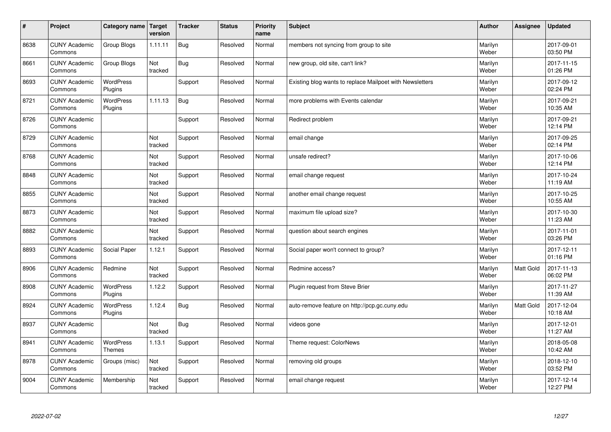| $\vert$ # | Project                         | Category name   Target      | version        | <b>Tracker</b> | <b>Status</b> | <b>Priority</b><br>name | <b>Subject</b>                                           | <b>Author</b>    | Assignee  | <b>Updated</b>         |
|-----------|---------------------------------|-----------------------------|----------------|----------------|---------------|-------------------------|----------------------------------------------------------|------------------|-----------|------------------------|
| 8638      | <b>CUNY Academic</b><br>Commons | <b>Group Blogs</b>          | 1.11.11        | Bug            | Resolved      | Normal                  | members not syncing from group to site                   | Marilyn<br>Weber |           | 2017-09-01<br>03:50 PM |
| 8661      | <b>CUNY Academic</b><br>Commons | Group Blogs                 | Not<br>tracked | Bug            | Resolved      | Normal                  | new group, old site, can't link?                         | Marilyn<br>Weber |           | 2017-11-15<br>01:26 PM |
| 8693      | <b>CUNY Academic</b><br>Commons | <b>WordPress</b><br>Plugins |                | Support        | Resolved      | Normal                  | Existing blog wants to replace Mailpoet with Newsletters | Marilyn<br>Weber |           | 2017-09-12<br>02:24 PM |
| 8721      | <b>CUNY Academic</b><br>Commons | <b>WordPress</b><br>Plugins | 1.11.13        | Bug            | Resolved      | Normal                  | more problems with Events calendar                       | Marilyn<br>Weber |           | 2017-09-21<br>10:35 AM |
| 8726      | <b>CUNY Academic</b><br>Commons |                             |                | Support        | Resolved      | Normal                  | Redirect problem                                         | Marilyn<br>Weber |           | 2017-09-21<br>12:14 PM |
| 8729      | <b>CUNY Academic</b><br>Commons |                             | Not<br>tracked | Support        | Resolved      | Normal                  | email change                                             | Marilyn<br>Weber |           | 2017-09-25<br>02:14 PM |
| 8768      | <b>CUNY Academic</b><br>Commons |                             | Not<br>tracked | Support        | Resolved      | Normal                  | unsafe redirect?                                         | Marilyn<br>Weber |           | 2017-10-06<br>12:14 PM |
| 8848      | <b>CUNY Academic</b><br>Commons |                             | Not<br>tracked | Support        | Resolved      | Normal                  | email change request                                     | Marilyn<br>Weber |           | 2017-10-24<br>11:19 AM |
| 8855      | <b>CUNY Academic</b><br>Commons |                             | Not<br>tracked | Support        | Resolved      | Normal                  | another email change request                             | Marilyn<br>Weber |           | 2017-10-25<br>10:55 AM |
| 8873      | <b>CUNY Academic</b><br>Commons |                             | Not<br>tracked | Support        | Resolved      | Normal                  | maximum file upload size?                                | Marilyn<br>Weber |           | 2017-10-30<br>11:23 AM |
| 8882      | <b>CUNY Academic</b><br>Commons |                             | Not<br>tracked | Support        | Resolved      | Normal                  | question about search engines                            | Marilyn<br>Weber |           | 2017-11-01<br>03:26 PM |
| 8893      | <b>CUNY Academic</b><br>Commons | Social Paper                | 1.12.1         | Support        | Resolved      | Normal                  | Social paper won't connect to group?                     | Marilyn<br>Weber |           | 2017-12-11<br>01:16 PM |
| 8906      | <b>CUNY Academic</b><br>Commons | Redmine                     | Not<br>tracked | Support        | Resolved      | Normal                  | Redmine access?                                          | Marilyn<br>Weber | Matt Gold | 2017-11-13<br>06:02 PM |
| 8908      | <b>CUNY Academic</b><br>Commons | WordPress<br>Plugins        | 1.12.2         | Support        | Resolved      | Normal                  | Plugin request from Steve Brier                          | Marilyn<br>Weber |           | 2017-11-27<br>11:39 AM |
| 8924      | <b>CUNY Academic</b><br>Commons | <b>WordPress</b><br>Plugins | 1.12.4         | <b>Bug</b>     | Resolved      | Normal                  | auto-remove feature on http://pcp.gc.cuny.edu            | Marilyn<br>Weber | Matt Gold | 2017-12-04<br>10:18 AM |
| 8937      | <b>CUNY Academic</b><br>Commons |                             | Not<br>tracked | <b>Bug</b>     | Resolved      | Normal                  | videos gone                                              | Marilyn<br>Weber |           | 2017-12-01<br>11:27 AM |
| 8941      | <b>CUNY Academic</b><br>Commons | WordPress<br><b>Themes</b>  | 1.13.1         | Support        | Resolved      | Normal                  | Theme request: ColorNews                                 | Marilyn<br>Weber |           | 2018-05-08<br>10:42 AM |
| 8978      | <b>CUNY Academic</b><br>Commons | Groups (misc)               | Not<br>tracked | Support        | Resolved      | Normal                  | removing old groups                                      | Marilyn<br>Weber |           | 2018-12-10<br>03:52 PM |
| 9004      | <b>CUNY Academic</b><br>Commons | Membership                  | Not<br>tracked | Support        | Resolved      | Normal                  | email change request                                     | Marilyn<br>Weber |           | 2017-12-14<br>12:27 PM |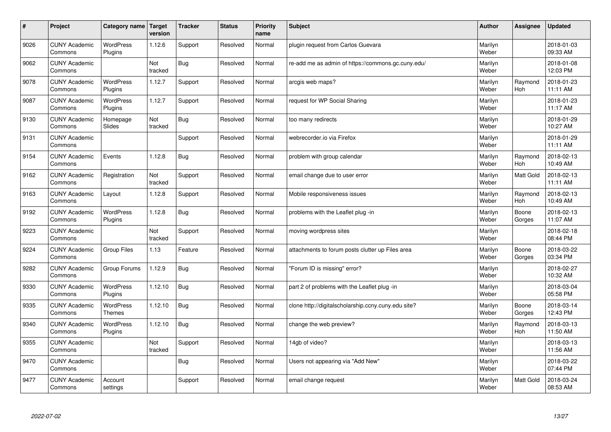| $\sharp$ | Project                         | Category name   Target      | version        | <b>Tracker</b> | <b>Status</b> | <b>Priority</b><br>name | <b>Subject</b>                                      | <b>Author</b>    | Assignee         | <b>Updated</b>         |
|----------|---------------------------------|-----------------------------|----------------|----------------|---------------|-------------------------|-----------------------------------------------------|------------------|------------------|------------------------|
| 9026     | <b>CUNY Academic</b><br>Commons | <b>WordPress</b><br>Plugins | 1.12.6         | Support        | Resolved      | Normal                  | plugin request from Carlos Guevara                  | Marilyn<br>Weber |                  | 2018-01-03<br>09:33 AM |
| 9062     | <b>CUNY Academic</b><br>Commons |                             | Not<br>tracked | Bug            | Resolved      | Normal                  | re-add me as admin of https://commons.gc.cuny.edu/  | Marilyn<br>Weber |                  | 2018-01-08<br>12:03 PM |
| 9078     | <b>CUNY Academic</b><br>Commons | <b>WordPress</b><br>Plugins | 1.12.7         | Support        | Resolved      | Normal                  | arcgis web maps?                                    | Marilyn<br>Weber | Raymond<br>Hoh   | 2018-01-23<br>11:11 AM |
| 9087     | <b>CUNY Academic</b><br>Commons | <b>WordPress</b><br>Plugins | 1.12.7         | Support        | Resolved      | Normal                  | request for WP Social Sharing                       | Marilyn<br>Weber |                  | 2018-01-23<br>11:17 AM |
| 9130     | <b>CUNY Academic</b><br>Commons | Homepage<br>Slides          | Not<br>tracked | <b>Bug</b>     | Resolved      | Normal                  | too many redirects                                  | Marilyn<br>Weber |                  | 2018-01-29<br>10:27 AM |
| 9131     | <b>CUNY Academic</b><br>Commons |                             |                | Support        | Resolved      | Normal                  | webrecorder.io via Firefox                          | Marilyn<br>Weber |                  | 2018-01-29<br>11:11 AM |
| 9154     | <b>CUNY Academic</b><br>Commons | Events                      | 1.12.8         | Bug            | Resolved      | Normal                  | problem with group calendar                         | Marilyn<br>Weber | Raymond<br>Hoh   | 2018-02-13<br>10:49 AM |
| 9162     | <b>CUNY Academic</b><br>Commons | Registration                | Not<br>tracked | Support        | Resolved      | Normal                  | email change due to user error                      | Marilyn<br>Weber | Matt Gold        | 2018-02-13<br>11:11 AM |
| 9163     | <b>CUNY Academic</b><br>Commons | Layout                      | 1.12.8         | Support        | Resolved      | Normal                  | Mobile responsiveness issues                        | Marilyn<br>Weber | Raymond<br>Hoh   | 2018-02-13<br>10:49 AM |
| 9192     | <b>CUNY Academic</b><br>Commons | <b>WordPress</b><br>Plugins | 1.12.8         | Bug            | Resolved      | Normal                  | problems with the Leaflet plug -in                  | Marilyn<br>Weber | Boone<br>Gorges  | 2018-02-13<br>11:07 AM |
| 9223     | <b>CUNY Academic</b><br>Commons |                             | Not<br>tracked | Support        | Resolved      | Normal                  | moving wordpress sites                              | Marilyn<br>Weber |                  | 2018-02-18<br>08:44 PM |
| 9224     | <b>CUNY Academic</b><br>Commons | Group Files                 | 1.13           | Feature        | Resolved      | Normal                  | attachments to forum posts clutter up Files area    | Marilyn<br>Weber | Boone<br>Gorges  | 2018-03-22<br>03:34 PM |
| 9282     | <b>CUNY Academic</b><br>Commons | Group Forums                | 1.12.9         | Bug            | Resolved      | Normal                  | 'Forum ID is missing" error?                        | Marilyn<br>Weber |                  | 2018-02-27<br>10:32 AM |
| 9330     | <b>CUNY Academic</b><br>Commons | WordPress<br>Plugins        | 1.12.10        | Bug            | Resolved      | Normal                  | part 2 of problems with the Leaflet plug -in        | Marilyn<br>Weber |                  | 2018-03-04<br>05:58 PM |
| 9335     | <b>CUNY Academic</b><br>Commons | WordPress<br><b>Themes</b>  | 1.12.10        | <b>Bug</b>     | Resolved      | Normal                  | clone http://digitalscholarship.ccny.cuny.edu site? | Marilyn<br>Weber | Boone<br>Gorges  | 2018-03-14<br>12:43 PM |
| 9340     | <b>CUNY Academic</b><br>Commons | <b>WordPress</b><br>Plugins | 1.12.10        | Bug            | Resolved      | Normal                  | change the web preview?                             | Marilyn<br>Weber | Raymond<br>Hoh   | 2018-03-13<br>11:50 AM |
| 9355     | <b>CUNY Academic</b><br>Commons |                             | Not<br>tracked | Support        | Resolved      | Normal                  | 14gb of video?                                      | Marilyn<br>Weber |                  | 2018-03-13<br>11:56 AM |
| 9470     | <b>CUNY Academic</b><br>Commons |                             |                | <b>Bug</b>     | Resolved      | Normal                  | Users not appearing via "Add New"                   | Marilyn<br>Weber |                  | 2018-03-22<br>07:44 PM |
| 9477     | <b>CUNY Academic</b><br>Commons | Account<br>settings         |                | Support        | Resolved      | Normal                  | email change request                                | Marilyn<br>Weber | <b>Matt Gold</b> | 2018-03-24<br>08:53 AM |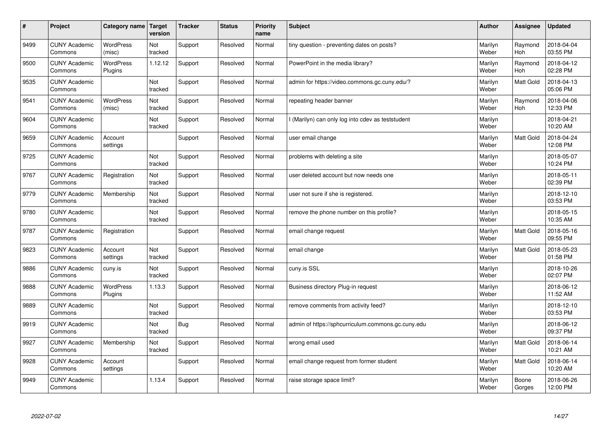| #    | Project                         | Category name               | Target<br>version | <b>Tracker</b> | <b>Status</b> | <b>Priority</b><br>name | <b>Subject</b>                                     | <b>Author</b>    | Assignee         | <b>Updated</b>         |
|------|---------------------------------|-----------------------------|-------------------|----------------|---------------|-------------------------|----------------------------------------------------|------------------|------------------|------------------------|
| 9499 | <b>CUNY Academic</b><br>Commons | <b>WordPress</b><br>(misc)  | Not<br>tracked    | Support        | Resolved      | Normal                  | tiny question - preventing dates on posts?         | Marilyn<br>Weber | Raymond<br>Hoh   | 2018-04-04<br>03:55 PM |
| 9500 | <b>CUNY Academic</b><br>Commons | <b>WordPress</b><br>Plugins | 1.12.12           | Support        | Resolved      | Normal                  | PowerPoint in the media library?                   | Marilyn<br>Weber | Raymond<br>Hoh   | 2018-04-12<br>02:28 PM |
| 9535 | <b>CUNY Academic</b><br>Commons |                             | Not<br>tracked    | Support        | Resolved      | Normal                  | admin for https://video.commons.gc.cuny.edu/?      | Marilyn<br>Weber | <b>Matt Gold</b> | 2018-04-13<br>05:06 PM |
| 9541 | <b>CUNY Academic</b><br>Commons | WordPress<br>(misc)         | Not<br>tracked    | Support        | Resolved      | Normal                  | repeating header banner                            | Marilyn<br>Weber | Raymond<br>Hoh   | 2018-04-06<br>12:33 PM |
| 9604 | <b>CUNY Academic</b><br>Commons |                             | Not<br>tracked    | Support        | Resolved      | Normal                  | (Marilyn) can only log into cdev as teststudent    | Marilyn<br>Weber |                  | 2018-04-21<br>10:20 AM |
| 9659 | <b>CUNY Academic</b><br>Commons | Account<br>settings         |                   | Support        | Resolved      | Normal                  | user email change                                  | Marilyn<br>Weber | <b>Matt Gold</b> | 2018-04-24<br>12:08 PM |
| 9725 | <b>CUNY Academic</b><br>Commons |                             | Not<br>tracked    | Support        | Resolved      | Normal                  | problems with deleting a site                      | Marilyn<br>Weber |                  | 2018-05-07<br>10:24 PM |
| 9767 | <b>CUNY Academic</b><br>Commons | Registration                | Not<br>tracked    | Support        | Resolved      | Normal                  | user deleted account but now needs one             | Marilyn<br>Weber |                  | 2018-05-11<br>02:39 PM |
| 9779 | <b>CUNY Academic</b><br>Commons | Membership                  | Not<br>tracked    | Support        | Resolved      | Normal                  | user not sure if she is registered.                | Marilyn<br>Weber |                  | 2018-12-10<br>03:53 PM |
| 9780 | <b>CUNY Academic</b><br>Commons |                             | Not<br>tracked    | Support        | Resolved      | Normal                  | remove the phone number on this profile?           | Marilyn<br>Weber |                  | 2018-05-15<br>10:35 AM |
| 9787 | <b>CUNY Academic</b><br>Commons | Registration                |                   | Support        | Resolved      | Normal                  | email change request                               | Marilyn<br>Weber | Matt Gold        | 2018-05-16<br>09:55 PM |
| 9823 | <b>CUNY Academic</b><br>Commons | Account<br>settings         | Not<br>tracked    | Support        | Resolved      | Normal                  | email change                                       | Marilyn<br>Weber | Matt Gold        | 2018-05-23<br>01:58 PM |
| 9886 | <b>CUNY Academic</b><br>Commons | cuny.is                     | Not<br>tracked    | Support        | Resolved      | Normal                  | cuny.is SSL                                        | Marilyn<br>Weber |                  | 2018-10-26<br>02:07 PM |
| 9888 | <b>CUNY Academic</b><br>Commons | WordPress<br>Plugins        | 1.13.3            | Support        | Resolved      | Normal                  | Business directory Plug-in request                 | Marilyn<br>Weber |                  | 2018-06-12<br>11:52 AM |
| 9889 | <b>CUNY Academic</b><br>Commons |                             | Not<br>tracked    | Support        | Resolved      | Normal                  | remove comments from activity feed?                | Marilyn<br>Weber |                  | 2018-12-10<br>03:53 PM |
| 9919 | <b>CUNY Academic</b><br>Commons |                             | Not<br>tracked    | <b>Bug</b>     | Resolved      | Normal                  | admin of https://sphcurriculum.commons.gc.cuny.edu | Marilyn<br>Weber |                  | 2018-06-12<br>09:37 PM |
| 9927 | <b>CUNY Academic</b><br>Commons | Membership                  | Not<br>tracked    | Support        | Resolved      | Normal                  | wrong email used                                   | Marilyn<br>Weber | Matt Gold        | 2018-06-14<br>10:21 AM |
| 9928 | <b>CUNY Academic</b><br>Commons | Account<br>settings         |                   | Support        | Resolved      | Normal                  | email change request from former student           | Marilyn<br>Weber | Matt Gold        | 2018-06-14<br>10:20 AM |
| 9949 | <b>CUNY Academic</b><br>Commons |                             | 1.13.4            | Support        | Resolved      | Normal                  | raise storage space limit?                         | Marilyn<br>Weber | Boone<br>Gorges  | 2018-06-26<br>12:00 PM |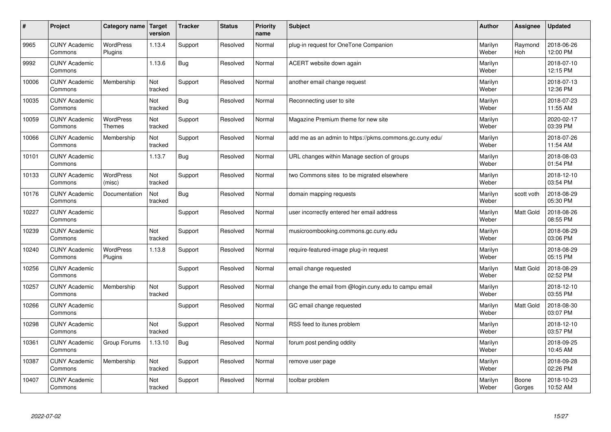| #     | Project                         | Category name                     | Target<br>version | <b>Tracker</b> | <b>Status</b> | <b>Priority</b><br>name | <b>Subject</b>                                          | <b>Author</b>    | Assignee              | <b>Updated</b>         |
|-------|---------------------------------|-----------------------------------|-------------------|----------------|---------------|-------------------------|---------------------------------------------------------|------------------|-----------------------|------------------------|
| 9965  | <b>CUNY Academic</b><br>Commons | <b>WordPress</b><br>Plugins       | 1.13.4            | Support        | Resolved      | Normal                  | plug-in request for OneTone Companion                   | Marilyn<br>Weber | Raymond<br><b>Hoh</b> | 2018-06-26<br>12:00 PM |
| 9992  | <b>CUNY Academic</b><br>Commons |                                   | 1.13.6            | Bug            | Resolved      | Normal                  | ACERT website down again                                | Marilyn<br>Weber |                       | 2018-07-10<br>12:15 PM |
| 10006 | <b>CUNY Academic</b><br>Commons | Membership                        | Not<br>tracked    | Support        | Resolved      | Normal                  | another email change request                            | Marilyn<br>Weber |                       | 2018-07-13<br>12:36 PM |
| 10035 | <b>CUNY Academic</b><br>Commons |                                   | Not<br>tracked    | Bug            | Resolved      | Normal                  | Reconnecting user to site                               | Marilyn<br>Weber |                       | 2018-07-23<br>11:55 AM |
| 10059 | <b>CUNY Academic</b><br>Commons | <b>WordPress</b><br><b>Themes</b> | Not<br>tracked    | Support        | Resolved      | Normal                  | Magazine Premium theme for new site                     | Marilyn<br>Weber |                       | 2020-02-17<br>03:39 PM |
| 10066 | <b>CUNY Academic</b><br>Commons | Membership                        | Not<br>tracked    | Support        | Resolved      | Normal                  | add me as an admin to https://pkms.commons.gc.cuny.edu/ | Marilyn<br>Weber |                       | 2018-07-26<br>11:54 AM |
| 10101 | <b>CUNY Academic</b><br>Commons |                                   | 1.13.7            | <b>Bug</b>     | Resolved      | Normal                  | URL changes within Manage section of groups             | Marilyn<br>Weber |                       | 2018-08-03<br>01:54 PM |
| 10133 | <b>CUNY Academic</b><br>Commons | <b>WordPress</b><br>(misc)        | Not<br>tracked    | Support        | Resolved      | Normal                  | two Commons sites to be migrated elsewhere              | Marilyn<br>Weber |                       | 2018-12-10<br>03:54 PM |
| 10176 | <b>CUNY Academic</b><br>Commons | Documentation                     | Not<br>tracked    | <b>Bug</b>     | Resolved      | Normal                  | domain mapping requests                                 | Marilyn<br>Weber | scott voth            | 2018-08-29<br>05:30 PM |
| 10227 | <b>CUNY Academic</b><br>Commons |                                   |                   | Support        | Resolved      | Normal                  | user incorrectly entered her email address              | Marilyn<br>Weber | <b>Matt Gold</b>      | 2018-08-26<br>08:55 PM |
| 10239 | <b>CUNY Academic</b><br>Commons |                                   | Not<br>tracked    | Support        | Resolved      | Normal                  | musicroombooking.commons.gc.cuny.edu                    | Marilyn<br>Weber |                       | 2018-08-29<br>03:06 PM |
| 10240 | <b>CUNY Academic</b><br>Commons | WordPress<br>Plugins              | 1.13.8            | Support        | Resolved      | Normal                  | require-featured-image plug-in request                  | Marilyn<br>Weber |                       | 2018-08-29<br>05:15 PM |
| 10256 | <b>CUNY Academic</b><br>Commons |                                   |                   | Support        | Resolved      | Normal                  | email change requested                                  | Marilyn<br>Weber | Matt Gold             | 2018-08-29<br>02:52 PM |
| 10257 | <b>CUNY Academic</b><br>Commons | Membership                        | Not<br>tracked    | Support        | Resolved      | Normal                  | change the email from @login.cuny.edu to campu email    | Marilyn<br>Weber |                       | 2018-12-10<br>03:55 PM |
| 10266 | <b>CUNY Academic</b><br>Commons |                                   |                   | Support        | Resolved      | Normal                  | GC email change requested                               | Marilyn<br>Weber | <b>Matt Gold</b>      | 2018-08-30<br>03:07 PM |
| 10298 | <b>CUNY Academic</b><br>Commons |                                   | Not<br>tracked    | Support        | Resolved      | Normal                  | RSS feed to itunes problem                              | Marilyn<br>Weber |                       | 2018-12-10<br>03:57 PM |
| 10361 | <b>CUNY Academic</b><br>Commons | Group Forums                      | 1.13.10           | <b>Bug</b>     | Resolved      | Normal                  | forum post pending oddity                               | Marilyn<br>Weber |                       | 2018-09-25<br>10:45 AM |
| 10387 | <b>CUNY Academic</b><br>Commons | Membership                        | Not<br>tracked    | Support        | Resolved      | Normal                  | remove user page                                        | Marilyn<br>Weber |                       | 2018-09-28<br>02:26 PM |
| 10407 | <b>CUNY Academic</b><br>Commons |                                   | Not<br>tracked    | Support        | Resolved      | Normal                  | toolbar problem                                         | Marilyn<br>Weber | Boone<br>Gorges       | 2018-10-23<br>10:52 AM |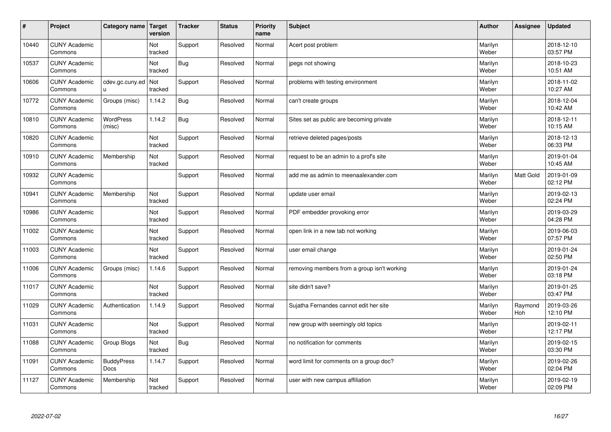| #     | Project                         | Category name              | Target<br>version | <b>Tracker</b> | <b>Status</b> | <b>Priority</b><br>name | <b>Subject</b>                              | <b>Author</b>    | Assignee         | <b>Updated</b>         |
|-------|---------------------------------|----------------------------|-------------------|----------------|---------------|-------------------------|---------------------------------------------|------------------|------------------|------------------------|
| 10440 | <b>CUNY Academic</b><br>Commons |                            | Not<br>tracked    | Support        | Resolved      | Normal                  | Acert post problem                          | Marilyn<br>Weber |                  | 2018-12-10<br>03:57 PM |
| 10537 | <b>CUNY Academic</b><br>Commons |                            | Not<br>tracked    | Bug            | Resolved      | Normal                  | jpegs not showing                           | Marilyn<br>Weber |                  | 2018-10-23<br>10:51 AM |
| 10606 | <b>CUNY Academic</b><br>Commons | cdev.gc.cuny.ed<br>ū       | Not<br>tracked    | Support        | Resolved      | Normal                  | problems with testing environment           | Marilyn<br>Weber |                  | 2018-11-02<br>10:27 AM |
| 10772 | <b>CUNY Academic</b><br>Commons | Groups (misc)              | 1.14.2            | <b>Bug</b>     | Resolved      | Normal                  | can't create groups                         | Marilyn<br>Weber |                  | 2018-12-04<br>10:42 AM |
| 10810 | <b>CUNY Academic</b><br>Commons | <b>WordPress</b><br>(misc) | 1.14.2            | <b>Bug</b>     | Resolved      | Normal                  | Sites set as public are becoming private    | Marilyn<br>Weber |                  | 2018-12-11<br>10:15 AM |
| 10820 | <b>CUNY Academic</b><br>Commons |                            | Not<br>tracked    | Support        | Resolved      | Normal                  | retrieve deleted pages/posts                | Marilyn<br>Weber |                  | 2018-12-13<br>06:33 PM |
| 10910 | <b>CUNY Academic</b><br>Commons | Membership                 | Not<br>tracked    | Support        | Resolved      | Normal                  | request to be an admin to a prof's site     | Marilyn<br>Weber |                  | 2019-01-04<br>10:45 AM |
| 10932 | <b>CUNY Academic</b><br>Commons |                            |                   | Support        | Resolved      | Normal                  | add me as admin to meenaalexander.com       | Marilyn<br>Weber | <b>Matt Gold</b> | 2019-01-09<br>02:12 PM |
| 10941 | <b>CUNY Academic</b><br>Commons | Membership                 | Not<br>tracked    | Support        | Resolved      | Normal                  | update user email                           | Marilyn<br>Weber |                  | 2019-02-13<br>02:24 PM |
| 10986 | <b>CUNY Academic</b><br>Commons |                            | Not<br>tracked    | Support        | Resolved      | Normal                  | PDF embedder provoking error                | Marilyn<br>Weber |                  | 2019-03-29<br>04:28 PM |
| 11002 | <b>CUNY Academic</b><br>Commons |                            | Not<br>tracked    | Support        | Resolved      | Normal                  | open link in a new tab not working          | Marilyn<br>Weber |                  | 2019-06-03<br>07:57 PM |
| 11003 | <b>CUNY Academic</b><br>Commons |                            | Not<br>tracked    | Support        | Resolved      | Normal                  | user email change                           | Marilyn<br>Weber |                  | 2019-01-24<br>02:50 PM |
| 11006 | <b>CUNY Academic</b><br>Commons | Groups (misc)              | 1.14.6            | Support        | Resolved      | Normal                  | removing members from a group isn't working | Marilyn<br>Weber |                  | 2019-01-24<br>03:18 PM |
| 11017 | <b>CUNY Academic</b><br>Commons |                            | Not<br>tracked    | Support        | Resolved      | Normal                  | site didn't save?                           | Marilyn<br>Weber |                  | 2019-01-25<br>03:47 PM |
| 11029 | <b>CUNY Academic</b><br>Commons | Authentication             | 1.14.9            | Support        | Resolved      | Normal                  | Sujatha Fernandes cannot edit her site      | Marilyn<br>Weber | Raymond<br>Hoh   | 2019-03-26<br>12:10 PM |
| 11031 | <b>CUNY Academic</b><br>Commons |                            | Not<br>tracked    | Support        | Resolved      | Normal                  | new group with seemingly old topics         | Marilyn<br>Weber |                  | 2019-02-11<br>12:17 PM |
| 11088 | <b>CUNY Academic</b><br>Commons | Group Blogs                | Not<br>tracked    | <b>Bug</b>     | Resolved      | Normal                  | no notification for comments                | Marilyn<br>Weber |                  | 2019-02-15<br>03:30 PM |
| 11091 | <b>CUNY Academic</b><br>Commons | <b>BuddyPress</b><br>Docs  | 1.14.7            | Support        | Resolved      | Normal                  | word limit for comments on a group doc?     | Marilyn<br>Weber |                  | 2019-02-26<br>02:04 PM |
| 11127 | <b>CUNY Academic</b><br>Commons | Membership                 | Not<br>tracked    | Support        | Resolved      | Normal                  | user with new campus affiliation            | Marilyn<br>Weber |                  | 2019-02-19<br>02:09 PM |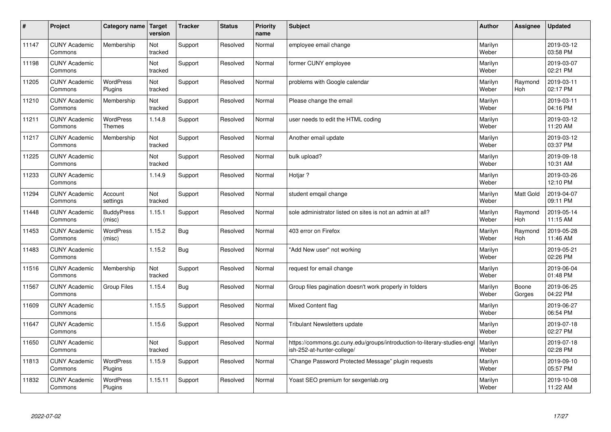| $\sharp$ | Project                         | Category name   Target            | version        | <b>Tracker</b> | <b>Status</b> | <b>Priority</b><br>name | <b>Subject</b>                                                                                        | <b>Author</b>    | Assignee         | <b>Updated</b>         |
|----------|---------------------------------|-----------------------------------|----------------|----------------|---------------|-------------------------|-------------------------------------------------------------------------------------------------------|------------------|------------------|------------------------|
| 11147    | <b>CUNY Academic</b><br>Commons | Membership                        | Not<br>tracked | Support        | Resolved      | Normal                  | employee email change                                                                                 | Marilyn<br>Weber |                  | 2019-03-12<br>03:58 PM |
| 11198    | <b>CUNY Academic</b><br>Commons |                                   | Not<br>tracked | Support        | Resolved      | Normal                  | former CUNY employee                                                                                  | Marilyn<br>Weber |                  | 2019-03-07<br>02:21 PM |
| 11205    | <b>CUNY Academic</b><br>Commons | <b>WordPress</b><br>Plugins       | Not<br>tracked | Support        | Resolved      | Normal                  | problems with Google calendar                                                                         | Marilyn<br>Weber | Raymond<br>Hoh   | 2019-03-11<br>02:17 PM |
| 11210    | <b>CUNY Academic</b><br>Commons | Membership                        | Not<br>tracked | Support        | Resolved      | Normal                  | Please change the email                                                                               | Marilyn<br>Weber |                  | 2019-03-11<br>04:16 PM |
| 11211    | <b>CUNY Academic</b><br>Commons | <b>WordPress</b><br><b>Themes</b> | 1.14.8         | Support        | Resolved      | Normal                  | user needs to edit the HTML coding                                                                    | Marilyn<br>Weber |                  | 2019-03-12<br>11:20 AM |
| 11217    | <b>CUNY Academic</b><br>Commons | Membership                        | Not<br>tracked | Support        | Resolved      | Normal                  | Another email update                                                                                  | Marilyn<br>Weber |                  | 2019-03-12<br>03:37 PM |
| 11225    | <b>CUNY Academic</b><br>Commons |                                   | Not<br>tracked | Support        | Resolved      | Normal                  | bulk upload?                                                                                          | Marilyn<br>Weber |                  | 2019-09-18<br>10:31 AM |
| 11233    | <b>CUNY Academic</b><br>Commons |                                   | 1.14.9         | Support        | Resolved      | Normal                  | Hotjar ?                                                                                              | Marilyn<br>Weber |                  | 2019-03-26<br>12:10 PM |
| 11294    | <b>CUNY Academic</b><br>Commons | Account<br>settings               | Not<br>tracked | Support        | Resolved      | Normal                  | student emgail change                                                                                 | Marilyn<br>Weber | <b>Matt Gold</b> | 2019-04-07<br>09:11 PM |
| 11448    | <b>CUNY Academic</b><br>Commons | <b>BuddyPress</b><br>(misc)       | 1.15.1         | Support        | Resolved      | Normal                  | sole administrator listed on sites is not an admin at all?                                            | Marilyn<br>Weber | Raymond<br>Hoh   | 2019-05-14<br>11:15 AM |
| 11453    | <b>CUNY Academic</b><br>Commons | <b>WordPress</b><br>(misc)        | 1.15.2         | <b>Bug</b>     | Resolved      | Normal                  | 403 error on Firefox                                                                                  | Marilyn<br>Weber | Raymond<br>Hoh   | 2019-05-28<br>11:46 AM |
| 11483    | <b>CUNY Academic</b><br>Commons |                                   | 1.15.2         | Bug            | Resolved      | Normal                  | 'Add New user" not working                                                                            | Marilyn<br>Weber |                  | 2019-05-21<br>02:26 PM |
| 11516    | <b>CUNY Academic</b><br>Commons | Membership                        | Not<br>tracked | Support        | Resolved      | Normal                  | request for email change                                                                              | Marilyn<br>Weber |                  | 2019-06-04<br>01:48 PM |
| 11567    | <b>CUNY Academic</b><br>Commons | <b>Group Files</b>                | 1.15.4         | Bug            | Resolved      | Normal                  | Group files pagination doesn't work properly in folders                                               | Marilyn<br>Weber | Boone<br>Gorges  | 2019-06-25<br>04:22 PM |
| 11609    | <b>CUNY Academic</b><br>Commons |                                   | 1.15.5         | Support        | Resolved      | Normal                  | Mixed Content flag                                                                                    | Marilyn<br>Weber |                  | 2019-06-27<br>06:54 PM |
| 11647    | <b>CUNY Academic</b><br>Commons |                                   | 1.15.6         | Support        | Resolved      | Normal                  | Tribulant Newsletters update                                                                          | Marilyn<br>Weber |                  | 2019-07-18<br>02:27 PM |
| 11650    | <b>CUNY Academic</b><br>Commons |                                   | Not<br>tracked | Support        | Resolved      | Normal                  | https://commons.gc.cuny.edu/groups/introduction-to-literary-studies-eng<br>ish-252-at-hunter-college/ | Marilyn<br>Weber |                  | 2019-07-18<br>02:28 PM |
| 11813    | <b>CUNY Academic</b><br>Commons | WordPress<br>Plugins              | 1.15.9         | Support        | Resolved      | Normal                  | 'Change Password Protected Message" plugin requests                                                   | Marilyn<br>Weber |                  | 2019-09-10<br>05:57 PM |
| 11832    | <b>CUNY Academic</b><br>Commons | <b>WordPress</b><br>Plugins       | 1.15.11        | Support        | Resolved      | Normal                  | Yoast SEO premium for sexgenlab.org                                                                   | Marilyn<br>Weber |                  | 2019-10-08<br>11:22 AM |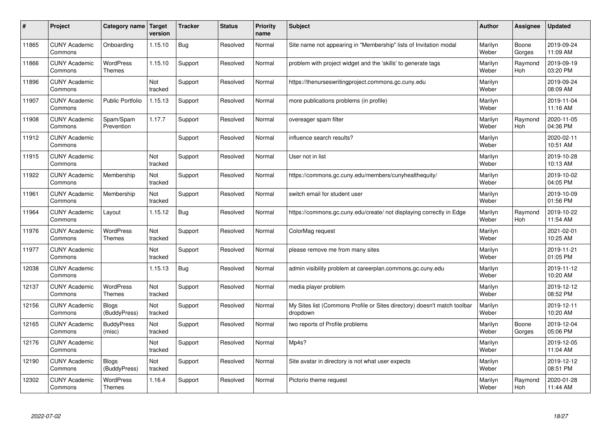| #     | Project                         | Category name                     | Target<br>version | <b>Tracker</b> | <b>Status</b> | <b>Priority</b><br>name | <b>Subject</b>                                                                       | <b>Author</b>    | <b>Assignee</b> | <b>Updated</b>         |
|-------|---------------------------------|-----------------------------------|-------------------|----------------|---------------|-------------------------|--------------------------------------------------------------------------------------|------------------|-----------------|------------------------|
| 11865 | <b>CUNY Academic</b><br>Commons | Onboarding                        | 1.15.10           | Bug            | Resolved      | Normal                  | Site name not appearing in "Membership" lists of Invitation modal                    | Marilyn<br>Weber | Boone<br>Gorges | 2019-09-24<br>11:09 AM |
| 11866 | <b>CUNY Academic</b><br>Commons | WordPress<br>Themes               | 1.15.10           | Support        | Resolved      | Normal                  | problem with project widget and the 'skills' to generate tags                        | Marilyn<br>Weber | Raymond<br>Hoh  | 2019-09-19<br>03:20 PM |
| 11896 | <b>CUNY Academic</b><br>Commons |                                   | Not<br>tracked    | Support        | Resolved      | Normal                  | https://thenurseswritingproject.commons.gc.cuny.edu                                  | Marilyn<br>Weber |                 | 2019-09-24<br>08:09 AM |
| 11907 | <b>CUNY Academic</b><br>Commons | <b>Public Portfolio</b>           | 1.15.13           | Support        | Resolved      | Normal                  | more publications problems (in profile)                                              | Marilyn<br>Weber |                 | 2019-11-04<br>11:16 AM |
| 11908 | <b>CUNY Academic</b><br>Commons | Spam/Spam<br>Prevention           | 1.17.7            | Support        | Resolved      | Normal                  | overeager spam filter                                                                | Marilyn<br>Weber | Raymond<br>Hoh  | 2020-11-05<br>04:36 PM |
| 11912 | <b>CUNY Academic</b><br>Commons |                                   |                   | Support        | Resolved      | Normal                  | influence search results?                                                            | Marilyn<br>Weber |                 | 2020-02-11<br>10:51 AM |
| 11915 | <b>CUNY Academic</b><br>Commons |                                   | Not<br>tracked    | Support        | Resolved      | Normal                  | User not in list                                                                     | Marilyn<br>Weber |                 | 2019-10-28<br>10:13 AM |
| 11922 | <b>CUNY Academic</b><br>Commons | Membership                        | Not<br>tracked    | Support        | Resolved      | Normal                  | https://commons.gc.cuny.edu/members/cunyhealthequity/                                | Marilyn<br>Weber |                 | 2019-10-02<br>04:05 PM |
| 11961 | <b>CUNY Academic</b><br>Commons | Membership                        | Not<br>tracked    | Support        | Resolved      | Normal                  | switch email for student user                                                        | Marilyn<br>Weber |                 | 2019-10-09<br>01:56 PM |
| 11964 | <b>CUNY Academic</b><br>Commons | Layout                            | 1.15.12           | <b>Bug</b>     | Resolved      | Normal                  | https://commons.gc.cuny.edu/create/ not displaying correctly in Edge                 | Marilyn<br>Weber | Raymond<br>Hoh  | 2019-10-22<br>11:54 AM |
| 11976 | <b>CUNY Academic</b><br>Commons | WordPress<br><b>Themes</b>        | Not<br>tracked    | Support        | Resolved      | Normal                  | ColorMag request                                                                     | Marilyn<br>Weber |                 | 2021-02-01<br>10:25 AM |
| 11977 | <b>CUNY Academic</b><br>Commons |                                   | Not<br>tracked    | Support        | Resolved      | Normal                  | please remove me from many sites                                                     | Marilyn<br>Weber |                 | 2019-11-21<br>01:05 PM |
| 12038 | <b>CUNY Academic</b><br>Commons |                                   | 1.15.13           | Bug            | Resolved      | Normal                  | admin visibility problem at careerplan.commons.gc.cuny.edu                           | Marilyn<br>Weber |                 | 2019-11-12<br>10:20 AM |
| 12137 | <b>CUNY Academic</b><br>Commons | <b>WordPress</b><br><b>Themes</b> | Not<br>tracked    | Support        | Resolved      | Normal                  | media player problem                                                                 | Marilyn<br>Weber |                 | 2019-12-12<br>08:52 PM |
| 12156 | <b>CUNY Academic</b><br>Commons | <b>Blogs</b><br>(BuddyPress)      | Not<br>tracked    | Support        | Resolved      | Normal                  | My Sites list (Commons Profile or Sites directory) doesn't match toolbar<br>dropdown | Marilyn<br>Weber |                 | 2019-12-11<br>10:20 AM |
| 12165 | <b>CUNY Academic</b><br>Commons | <b>BuddyPress</b><br>(misc)       | Not<br>tracked    | Support        | Resolved      | Normal                  | two reports of Profile problems                                                      | Marilyn<br>Weber | Boone<br>Gorges | 2019-12-04<br>05:06 PM |
| 12176 | <b>CUNY Academic</b><br>Commons |                                   | Not<br>tracked    | Support        | Resolved      | Normal                  | Mp4s?                                                                                | Marilyn<br>Weber |                 | 2019-12-05<br>11:04 AM |
| 12190 | <b>CUNY Academic</b><br>Commons | Blogs<br>(BuddyPress)             | Not<br>tracked    | Support        | Resolved      | Normal                  | Site avatar in directory is not what user expects                                    | Marilyn<br>Weber |                 | 2019-12-12<br>08:51 PM |
| 12302 | <b>CUNY Academic</b><br>Commons | <b>WordPress</b><br><b>Themes</b> | 1.16.4            | Support        | Resolved      | Normal                  | Pictorio theme request                                                               | Marilyn<br>Weber | Raymond<br>Hoh  | 2020-01-28<br>11:44 AM |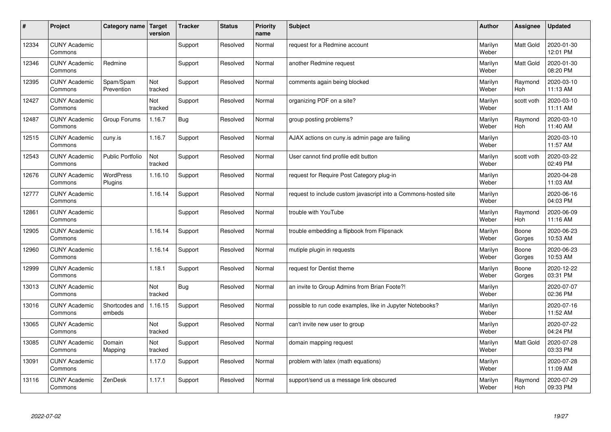| #     | Project                         | Category name   Target   | version        | <b>Tracker</b> | <b>Status</b> | <b>Priority</b><br>name | <b>Subject</b>                                                  | <b>Author</b>    | Assignee              | <b>Updated</b>         |
|-------|---------------------------------|--------------------------|----------------|----------------|---------------|-------------------------|-----------------------------------------------------------------|------------------|-----------------------|------------------------|
| 12334 | <b>CUNY Academic</b><br>Commons |                          |                | Support        | Resolved      | Normal                  | request for a Redmine account                                   | Marilyn<br>Weber | <b>Matt Gold</b>      | 2020-01-30<br>12:01 PM |
| 12346 | <b>CUNY Academic</b><br>Commons | Redmine                  |                | Support        | Resolved      | Normal                  | another Redmine request                                         | Marilyn<br>Weber | <b>Matt Gold</b>      | 2020-01-30<br>08:20 PM |
| 12395 | <b>CUNY Academic</b><br>Commons | Spam/Spam<br>Prevention  | Not<br>tracked | Support        | Resolved      | Normal                  | comments again being blocked                                    | Marilyn<br>Weber | Raymond<br><b>Hoh</b> | 2020-03-10<br>11:13 AM |
| 12427 | <b>CUNY Academic</b><br>Commons |                          | Not<br>tracked | Support        | Resolved      | Normal                  | organizing PDF on a site?                                       | Marilyn<br>Weber | scott voth            | 2020-03-10<br>11:11 AM |
| 12487 | <b>CUNY Academic</b><br>Commons | Group Forums             | 1.16.7         | Bug            | Resolved      | Normal                  | group posting problems?                                         | Marilyn<br>Weber | Raymond<br>Hoh        | 2020-03-10<br>11:40 AM |
| 12515 | <b>CUNY Academic</b><br>Commons | cuny.is                  | 1.16.7         | Support        | Resolved      | Normal                  | AJAX actions on cuny is admin page are failing                  | Marilyn<br>Weber |                       | 2020-03-10<br>11:57 AM |
| 12543 | <b>CUNY Academic</b><br>Commons | <b>Public Portfolio</b>  | Not<br>tracked | Support        | Resolved      | Normal                  | User cannot find profile edit button                            | Marilyn<br>Weber | scott voth            | 2020-03-22<br>02:49 PM |
| 12676 | <b>CUNY Academic</b><br>Commons | WordPress<br>Plugins     | 1.16.10        | Support        | Resolved      | Normal                  | request for Require Post Category plug-in                       | Marilyn<br>Weber |                       | 2020-04-28<br>11:03 AM |
| 12777 | <b>CUNY Academic</b><br>Commons |                          | 1.16.14        | Support        | Resolved      | Normal                  | request to include custom javascript into a Commons-hosted site | Marilyn<br>Weber |                       | 2020-06-16<br>04:03 PM |
| 12861 | <b>CUNY Academic</b><br>Commons |                          |                | Support        | Resolved      | Normal                  | trouble with YouTube                                            | Marilyn<br>Weber | Raymond<br>Hoh        | 2020-06-09<br>11:16 AM |
| 12905 | <b>CUNY Academic</b><br>Commons |                          | 1.16.14        | Support        | Resolved      | Normal                  | trouble embedding a flipbook from Flipsnack                     | Marilyn<br>Weber | Boone<br>Gorges       | 2020-06-23<br>10:53 AM |
| 12960 | <b>CUNY Academic</b><br>Commons |                          | 1.16.14        | Support        | Resolved      | Normal                  | mutiple plugin in requests                                      | Marilyn<br>Weber | Boone<br>Gorges       | 2020-06-23<br>10:53 AM |
| 12999 | <b>CUNY Academic</b><br>Commons |                          | 1.18.1         | Support        | Resolved      | Normal                  | request for Dentist theme                                       | Marilyn<br>Weber | Boone<br>Gorges       | 2020-12-22<br>03:31 PM |
| 13013 | <b>CUNY Academic</b><br>Commons |                          | Not<br>tracked | Bug            | Resolved      | Normal                  | an invite to Group Admins from Brian Foote?!                    | Marilyn<br>Weber |                       | 2020-07-07<br>02:36 PM |
| 13016 | <b>CUNY Academic</b><br>Commons | Shortcodes and<br>embeds | 1.16.15        | Support        | Resolved      | Normal                  | possible to run code examples, like in Jupyter Notebooks?       | Marilyn<br>Weber |                       | 2020-07-16<br>11:52 AM |
| 13065 | <b>CUNY Academic</b><br>Commons |                          | Not<br>tracked | Support        | Resolved      | Normal                  | can't invite new user to group                                  | Marilyn<br>Weber |                       | 2020-07-22<br>04:24 PM |
| 13085 | <b>CUNY Academic</b><br>Commons | Domain<br>Mapping        | Not<br>tracked | Support        | Resolved      | Normal                  | domain mapping request                                          | Marilyn<br>Weber | <b>Matt Gold</b>      | 2020-07-28<br>03:33 PM |
| 13091 | <b>CUNY Academic</b><br>Commons |                          | 1.17.0         | Support        | Resolved      | Normal                  | problem with latex (math equations)                             | Marilyn<br>Weber |                       | 2020-07-28<br>11:09 AM |
| 13116 | <b>CUNY Academic</b><br>Commons | ZenDesk                  | 1.17.1         | Support        | Resolved      | Normal                  | support/send us a message link obscured                         | Marilyn<br>Weber | Raymond<br>Hoh        | 2020-07-29<br>09:33 PM |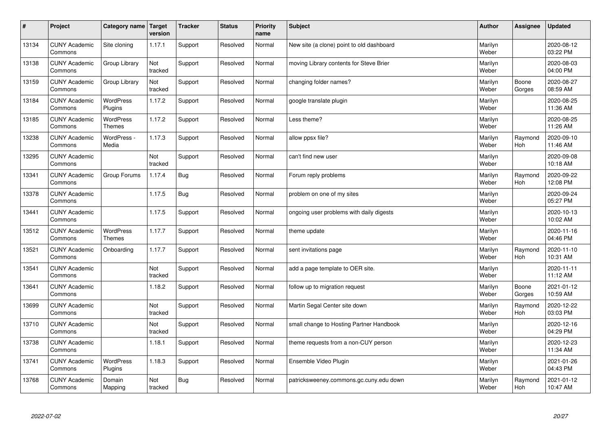| $\sharp$ | Project                         | Category name   Target            | version        | <b>Tracker</b> | <b>Status</b> | <b>Priority</b><br>name | <b>Subject</b>                            | <b>Author</b>    | Assignee              | <b>Updated</b>         |
|----------|---------------------------------|-----------------------------------|----------------|----------------|---------------|-------------------------|-------------------------------------------|------------------|-----------------------|------------------------|
| 13134    | <b>CUNY Academic</b><br>Commons | Site cloning                      | 1.17.1         | Support        | Resolved      | Normal                  | New site (a clone) point to old dashboard | Marilyn<br>Weber |                       | 2020-08-12<br>03:22 PM |
| 13138    | <b>CUNY Academic</b><br>Commons | Group Library                     | Not<br>tracked | Support        | Resolved      | Normal                  | moving Library contents for Steve Brier   | Marilyn<br>Weber |                       | 2020-08-03<br>04:00 PM |
| 13159    | <b>CUNY Academic</b><br>Commons | Group Library                     | Not<br>tracked | Support        | Resolved      | Normal                  | changing folder names?                    | Marilyn<br>Weber | Boone<br>Gorges       | 2020-08-27<br>08:59 AM |
| 13184    | <b>CUNY Academic</b><br>Commons | <b>WordPress</b><br>Plugins       | 1.17.2         | Support        | Resolved      | Normal                  | google translate plugin                   | Marilyn<br>Weber |                       | 2020-08-25<br>11:36 AM |
| 13185    | <b>CUNY Academic</b><br>Commons | <b>WordPress</b><br><b>Themes</b> | 1.17.2         | Support        | Resolved      | Normal                  | Less theme?                               | Marilyn<br>Weber |                       | 2020-08-25<br>11:26 AM |
| 13238    | <b>CUNY Academic</b><br>Commons | WordPress -<br>Media              | 1.17.3         | Support        | Resolved      | Normal                  | allow ppsx file?                          | Marilyn<br>Weber | Raymond<br>Hoh        | 2020-09-10<br>11:46 AM |
| 13295    | <b>CUNY Academic</b><br>Commons |                                   | Not<br>tracked | Support        | Resolved      | Normal                  | can't find new user                       | Marilyn<br>Weber |                       | 2020-09-08<br>10:18 AM |
| 13341    | <b>CUNY Academic</b><br>Commons | Group Forums                      | 1.17.4         | Bug            | Resolved      | Normal                  | Forum reply problems                      | Marilyn<br>Weber | Raymond<br><b>Hoh</b> | 2020-09-22<br>12:08 PM |
| 13378    | <b>CUNY Academic</b><br>Commons |                                   | 1.17.5         | Bug            | Resolved      | Normal                  | problem on one of my sites                | Marilyn<br>Weber |                       | 2020-09-24<br>05:27 PM |
| 13441    | <b>CUNY Academic</b><br>Commons |                                   | 1.17.5         | Support        | Resolved      | Normal                  | ongoing user problems with daily digests  | Marilyn<br>Weber |                       | 2020-10-13<br>10:02 AM |
| 13512    | <b>CUNY Academic</b><br>Commons | <b>WordPress</b><br><b>Themes</b> | 1.17.7         | Support        | Resolved      | Normal                  | theme update                              | Marilyn<br>Weber |                       | 2020-11-16<br>04:46 PM |
| 13521    | <b>CUNY Academic</b><br>Commons | Onboarding                        | 1.17.7         | Support        | Resolved      | Normal                  | sent invitations page                     | Marilyn<br>Weber | Raymond<br>Hoh        | 2020-11-10<br>10:31 AM |
| 13541    | <b>CUNY Academic</b><br>Commons |                                   | Not<br>tracked | Support        | Resolved      | Normal                  | add a page template to OER site.          | Marilyn<br>Weber |                       | 2020-11-11<br>11:12 AM |
| 13641    | <b>CUNY Academic</b><br>Commons |                                   | 1.18.2         | Support        | Resolved      | Normal                  | follow up to migration request            | Marilyn<br>Weber | Boone<br>Gorges       | 2021-01-12<br>10:59 AM |
| 13699    | <b>CUNY Academic</b><br>Commons |                                   | Not<br>tracked | Support        | Resolved      | Normal                  | Martin Segal Center site down             | Marilyn<br>Weber | Raymond<br>Hoh        | 2020-12-22<br>03:03 PM |
| 13710    | <b>CUNY Academic</b><br>Commons |                                   | Not<br>tracked | Support        | Resolved      | Normal                  | small change to Hosting Partner Handbook  | Marilyn<br>Weber |                       | 2020-12-16<br>04:29 PM |
| 13738    | <b>CUNY Academic</b><br>Commons |                                   | 1.18.1         | Support        | Resolved      | Normal                  | theme requests from a non-CUY person      | Marilyn<br>Weber |                       | 2020-12-23<br>11:34 AM |
| 13741    | <b>CUNY Academic</b><br>Commons | WordPress<br>Plugins              | 1.18.3         | Support        | Resolved      | Normal                  | Ensemble Video Plugin                     | Marilyn<br>Weber |                       | 2021-01-26<br>04:43 PM |
| 13768    | <b>CUNY Academic</b><br>Commons | Domain<br>Mapping                 | Not<br>tracked | <b>Bug</b>     | Resolved      | Normal                  | patricksweeney.commons.gc.cuny.edu down   | Marilyn<br>Weber | Raymond<br>Hoh        | 2021-01-12<br>10:47 AM |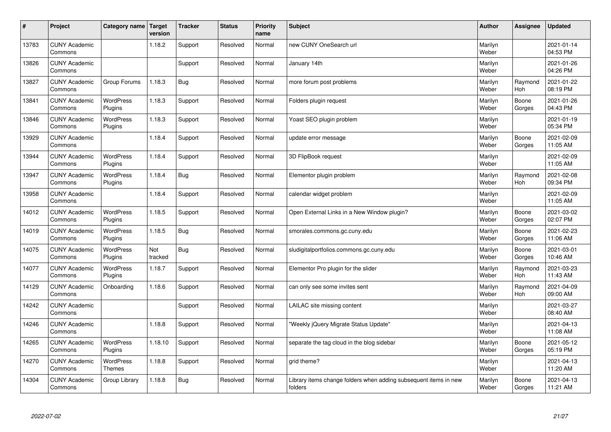| #     | Project                         | Category name   Target      | version        | <b>Tracker</b> | <b>Status</b> | <b>Priority</b><br>name | <b>Subject</b>                                                              | <b>Author</b>    | Assignee        | <b>Updated</b>         |
|-------|---------------------------------|-----------------------------|----------------|----------------|---------------|-------------------------|-----------------------------------------------------------------------------|------------------|-----------------|------------------------|
| 13783 | <b>CUNY Academic</b><br>Commons |                             | 1.18.2         | Support        | Resolved      | Normal                  | new CUNY OneSearch url                                                      | Marilyn<br>Weber |                 | 2021-01-14<br>04:53 PM |
| 13826 | <b>CUNY Academic</b><br>Commons |                             |                | Support        | Resolved      | Normal                  | January 14th                                                                | Marilyn<br>Weber |                 | 2021-01-26<br>04:26 PM |
| 13827 | <b>CUNY Academic</b><br>Commons | Group Forums                | 1.18.3         | <b>Bug</b>     | Resolved      | Normal                  | more forum post problems                                                    | Marilyn<br>Weber | Raymond<br>Hoh  | 2021-01-22<br>08:19 PM |
| 13841 | <b>CUNY Academic</b><br>Commons | <b>WordPress</b><br>Plugins | 1.18.3         | Support        | Resolved      | Normal                  | Folders plugin request                                                      | Marilyn<br>Weber | Boone<br>Gorges | 2021-01-26<br>04:43 PM |
| 13846 | <b>CUNY Academic</b><br>Commons | <b>WordPress</b><br>Plugins | 1.18.3         | Support        | Resolved      | Normal                  | Yoast SEO plugin problem                                                    | Marilyn<br>Weber |                 | 2021-01-19<br>05:34 PM |
| 13929 | <b>CUNY Academic</b><br>Commons |                             | 1.18.4         | Support        | Resolved      | Normal                  | update error message                                                        | Marilyn<br>Weber | Boone<br>Gorges | 2021-02-09<br>11:05 AM |
| 13944 | <b>CUNY Academic</b><br>Commons | <b>WordPress</b><br>Plugins | 1.18.4         | Support        | Resolved      | Normal                  | 3D FlipBook request                                                         | Marilyn<br>Weber |                 | 2021-02-09<br>11:05 AM |
| 13947 | <b>CUNY Academic</b><br>Commons | WordPress<br>Plugins        | 1.18.4         | <b>Bug</b>     | Resolved      | Normal                  | Elementor plugin problem                                                    | Marilyn<br>Weber | Raymond<br>Hoh  | 2021-02-08<br>09:34 PM |
| 13958 | <b>CUNY Academic</b><br>Commons |                             | 1.18.4         | Support        | Resolved      | Normal                  | calendar widget problem                                                     | Marilyn<br>Weber |                 | 2021-02-09<br>11:05 AM |
| 14012 | <b>CUNY Academic</b><br>Commons | <b>WordPress</b><br>Plugins | 1.18.5         | Support        | Resolved      | Normal                  | Open External Links in a New Window plugin?                                 | Marilyn<br>Weber | Boone<br>Gorges | 2021-03-02<br>02:07 PM |
| 14019 | <b>CUNY Academic</b><br>Commons | <b>WordPress</b><br>Plugins | 1.18.5         | <b>Bug</b>     | Resolved      | Normal                  | smorales.commons.gc.cuny.edu                                                | Marilyn<br>Weber | Boone<br>Gorges | 2021-02-23<br>11:06 AM |
| 14075 | <b>CUNY Academic</b><br>Commons | <b>WordPress</b><br>Plugins | Not<br>tracked | <b>Bug</b>     | Resolved      | Normal                  | sludigitalportfolios.commons.gc.cuny.edu                                    | Marilyn<br>Weber | Boone<br>Gorges | 2021-03-01<br>10:46 AM |
| 14077 | <b>CUNY Academic</b><br>Commons | <b>WordPress</b><br>Plugins | 1.18.7         | Support        | Resolved      | Normal                  | Elementor Pro plugin for the slider                                         | Marilyn<br>Weber | Raymond<br>Hoh  | 2021-03-23<br>11:43 AM |
| 14129 | <b>CUNY Academic</b><br>Commons | Onboarding                  | 1.18.6         | Support        | Resolved      | Normal                  | can only see some invites sent                                              | Marilyn<br>Weber | Raymond<br>Hoh  | 2021-04-09<br>09:00 AM |
| 14242 | <b>CUNY Academic</b><br>Commons |                             |                | Support        | Resolved      | Normal                  | LAILAC site missing content                                                 | Marilyn<br>Weber |                 | 2021-03-27<br>08:40 AM |
| 14246 | <b>CUNY Academic</b><br>Commons |                             | 1.18.8         | Support        | Resolved      | Normal                  | 'Weekly jQuery Migrate Status Update"                                       | Marilyn<br>Weber |                 | 2021-04-13<br>11:08 AM |
| 14265 | <b>CUNY Academic</b><br>Commons | WordPress<br>Plugins        | 1.18.10        | Support        | Resolved      | Normal                  | separate the tag cloud in the blog sidebar                                  | Marilyn<br>Weber | Boone<br>Gorges | 2021-05-12<br>05:19 PM |
| 14270 | <b>CUNY Academic</b><br>Commons | WordPress<br><b>Themes</b>  | 1.18.8         | Support        | Resolved      | Normal                  | grid theme?                                                                 | Marilyn<br>Weber |                 | 2021-04-13<br>11:20 AM |
| 14304 | <b>CUNY Academic</b><br>Commons | Group Library               | 1.18.8         | Bug            | Resolved      | Normal                  | Library items change folders when adding subsequent items in new<br>folders | Marilyn<br>Weber | Boone<br>Gorges | 2021-04-13<br>11:21 AM |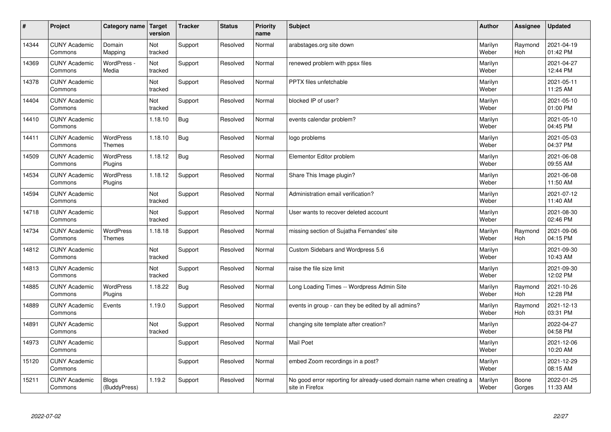| $\pmb{\#}$ | Project                         | Category name                     | Target<br>version | <b>Tracker</b> | <b>Status</b> | <b>Priority</b><br>name | <b>Subject</b>                                                                          | <b>Author</b>    | Assignee        | <b>Updated</b>         |
|------------|---------------------------------|-----------------------------------|-------------------|----------------|---------------|-------------------------|-----------------------------------------------------------------------------------------|------------------|-----------------|------------------------|
| 14344      | <b>CUNY Academic</b><br>Commons | Domain<br>Mapping                 | Not<br>tracked    | Support        | Resolved      | Normal                  | arabstages.org site down                                                                | Marilyn<br>Weber | Raymond<br>Hoh  | 2021-04-19<br>01:42 PM |
| 14369      | <b>CUNY Academic</b><br>Commons | WordPress -<br>Media              | Not<br>tracked    | Support        | Resolved      | Normal                  | renewed problem with ppsx files                                                         | Marilyn<br>Weber |                 | 2021-04-27<br>12:44 PM |
| 14378      | <b>CUNY Academic</b><br>Commons |                                   | Not<br>tracked    | Support        | Resolved      | Normal                  | PPTX files unfetchable                                                                  | Marilyn<br>Weber |                 | 2021-05-11<br>11:25 AM |
| 14404      | <b>CUNY Academic</b><br>Commons |                                   | Not<br>tracked    | Support        | Resolved      | Normal                  | blocked IP of user?                                                                     | Marilyn<br>Weber |                 | 2021-05-10<br>01:00 PM |
| 14410      | <b>CUNY Academic</b><br>Commons |                                   | 1.18.10           | <b>Bug</b>     | Resolved      | Normal                  | events calendar problem?                                                                | Marilyn<br>Weber |                 | 2021-05-10<br>04:45 PM |
| 14411      | <b>CUNY Academic</b><br>Commons | <b>WordPress</b><br><b>Themes</b> | 1.18.10           | <b>Bug</b>     | Resolved      | Normal                  | logo problems                                                                           | Marilyn<br>Weber |                 | 2021-05-03<br>04:37 PM |
| 14509      | <b>CUNY Academic</b><br>Commons | WordPress<br>Plugins              | 1.18.12           | <b>Bug</b>     | Resolved      | Normal                  | Elementor Editor problem                                                                | Marilyn<br>Weber |                 | 2021-06-08<br>09:55 AM |
| 14534      | <b>CUNY Academic</b><br>Commons | WordPress<br>Plugins              | 1.18.12           | Support        | Resolved      | Normal                  | Share This Image plugin?                                                                | Marilyn<br>Weber |                 | 2021-06-08<br>11:50 AM |
| 14594      | <b>CUNY Academic</b><br>Commons |                                   | Not<br>tracked    | Support        | Resolved      | Normal                  | Administration email verification?                                                      | Marilyn<br>Weber |                 | 2021-07-12<br>11:40 AM |
| 14718      | <b>CUNY Academic</b><br>Commons |                                   | Not<br>tracked    | Support        | Resolved      | Normal                  | User wants to recover deleted account                                                   | Marilyn<br>Weber |                 | 2021-08-30<br>02:46 PM |
| 14734      | <b>CUNY Academic</b><br>Commons | <b>WordPress</b><br>Themes        | 1.18.18           | Support        | Resolved      | Normal                  | missing section of Sujatha Fernandes' site                                              | Marilyn<br>Weber | Raymond<br>Hoh  | 2021-09-06<br>04:15 PM |
| 14812      | <b>CUNY Academic</b><br>Commons |                                   | Not<br>tracked    | Support        | Resolved      | Normal                  | Custom Sidebars and Wordpress 5.6                                                       | Marilyn<br>Weber |                 | 2021-09-30<br>10:43 AM |
| 14813      | <b>CUNY Academic</b><br>Commons |                                   | Not<br>tracked    | Support        | Resolved      | Normal                  | raise the file size limit                                                               | Marilyn<br>Weber |                 | 2021-09-30<br>12:02 PM |
| 14885      | <b>CUNY Academic</b><br>Commons | <b>WordPress</b><br>Plugins       | 1.18.22           | Bug            | Resolved      | Normal                  | Long Loading Times -- Wordpress Admin Site                                              | Marilyn<br>Weber | Raymond<br>Hoh  | 2021-10-26<br>12:28 PM |
| 14889      | <b>CUNY Academic</b><br>Commons | Events                            | 1.19.0            | Support        | Resolved      | Normal                  | events in group - can they be edited by all admins?                                     | Marilyn<br>Weber | Raymond<br>Hoh  | 2021-12-13<br>03:31 PM |
| 14891      | <b>CUNY Academic</b><br>Commons |                                   | Not<br>tracked    | Support        | Resolved      | Normal                  | changing site template after creation?                                                  | Marilyn<br>Weber |                 | 2022-04-27<br>04:58 PM |
| 14973      | <b>CUNY Academic</b><br>Commons |                                   |                   | Support        | Resolved      | Normal                  | Mail Poet                                                                               | Marilyn<br>Weber |                 | 2021-12-06<br>10:20 AM |
| 15120      | <b>CUNY Academic</b><br>Commons |                                   |                   | Support        | Resolved      | Normal                  | embed Zoom recordings in a post?                                                        | Marilyn<br>Weber |                 | 2021-12-29<br>08:15 AM |
| 15211      | <b>CUNY Academic</b><br>Commons | <b>Blogs</b><br>(BuddyPress)      | 1.19.2            | Support        | Resolved      | Normal                  | No good error reporting for already-used domain name when creating a<br>site in Firefox | Marilyn<br>Weber | Boone<br>Gorges | 2022-01-25<br>11:33 AM |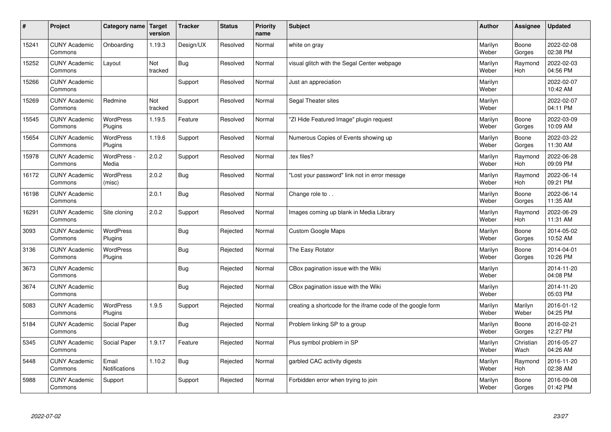| $\sharp$ | Project                         | Category name   Target        | version        | <b>Tracker</b> | <b>Status</b> | <b>Priority</b><br>name | <b>Subject</b>                                              | <b>Author</b>    | Assignee          | <b>Updated</b>         |
|----------|---------------------------------|-------------------------------|----------------|----------------|---------------|-------------------------|-------------------------------------------------------------|------------------|-------------------|------------------------|
| 15241    | <b>CUNY Academic</b><br>Commons | Onboarding                    | 1.19.3         | Design/UX      | Resolved      | Normal                  | white on gray                                               | Marilyn<br>Weber | Boone<br>Gorges   | 2022-02-08<br>02:38 PM |
| 15252    | <b>CUNY Academic</b><br>Commons | Layout                        | Not<br>tracked | Bug            | Resolved      | Normal                  | visual glitch with the Segal Center webpage                 | Marilyn<br>Weber | Raymond<br>Hoh    | 2022-02-03<br>04:56 PM |
| 15266    | <b>CUNY Academic</b><br>Commons |                               |                | Support        | Resolved      | Normal                  | Just an appreciation                                        | Marilyn<br>Weber |                   | 2022-02-07<br>10:42 AM |
| 15269    | <b>CUNY Academic</b><br>Commons | Redmine                       | Not<br>tracked | Support        | Resolved      | Normal                  | Segal Theater sites                                         | Marilyn<br>Weber |                   | 2022-02-07<br>04:11 PM |
| 15545    | <b>CUNY Academic</b><br>Commons | <b>WordPress</b><br>Plugins   | 1.19.5         | Feature        | Resolved      | Normal                  | "ZI Hide Featured Image" plugin request                     | Marilyn<br>Weber | Boone<br>Gorges   | 2022-03-09<br>10:09 AM |
| 15654    | <b>CUNY Academic</b><br>Commons | WordPress<br>Plugins          | 1.19.6         | Support        | Resolved      | Normal                  | Numerous Copies of Events showing up                        | Marilyn<br>Weber | Boone<br>Gorges   | 2022-03-22<br>11:30 AM |
| 15978    | <b>CUNY Academic</b><br>Commons | WordPress -<br>Media          | 2.0.2          | Support        | Resolved      | Normal                  | .tex files?                                                 | Marilyn<br>Weber | Raymond<br>Hoh    | 2022-06-28<br>09:09 PM |
| 16172    | <b>CUNY Academic</b><br>Commons | WordPress<br>(misc)           | 2.0.2          | Bug            | Resolved      | Normal                  | 'Lost your password" link not in error messge               | Marilyn<br>Weber | Raymond<br>Hoh    | 2022-06-14<br>09:21 PM |
| 16198    | <b>CUNY Academic</b><br>Commons |                               | 2.0.1          | Bug            | Resolved      | Normal                  | Change role to                                              | Marilyn<br>Weber | Boone<br>Gorges   | 2022-06-14<br>11:35 AM |
| 16291    | <b>CUNY Academic</b><br>Commons | Site cloning                  | 2.0.2          | Support        | Resolved      | Normal                  | Images coming up blank in Media Library                     | Marilyn<br>Weber | Raymond<br>Hoh    | 2022-06-29<br>11:31 AM |
| 3093     | <b>CUNY Academic</b><br>Commons | WordPress<br>Plugins          |                | <b>Bug</b>     | Rejected      | Normal                  | Custom Google Maps                                          | Marilyn<br>Weber | Boone<br>Gorges   | 2014-05-02<br>10:52 AM |
| 3136     | <b>CUNY Academic</b><br>Commons | <b>WordPress</b><br>Plugins   |                | <b>Bug</b>     | Rejected      | Normal                  | The Easy Rotator                                            | Marilyn<br>Weber | Boone<br>Gorges   | 2014-04-01<br>10:26 PM |
| 3673     | <b>CUNY Academic</b><br>Commons |                               |                | Bug            | Rejected      | Normal                  | CBox pagination issue with the Wiki                         | Marilyn<br>Weber |                   | 2014-11-20<br>04:08 PM |
| 3674     | <b>CUNY Academic</b><br>Commons |                               |                | <b>Bug</b>     | Rejected      | Normal                  | CBox pagination issue with the Wiki                         | Marilyn<br>Weber |                   | 2014-11-20<br>05:03 PM |
| 5083     | <b>CUNY Academic</b><br>Commons | <b>WordPress</b><br>Plugins   | 1.9.5          | Support        | Rejected      | Normal                  | creating a shortcode for the iframe code of the google form | Marilyn<br>Weber | Marilyn<br>Weber  | 2016-01-12<br>04:25 PM |
| 5184     | <b>CUNY Academic</b><br>Commons | Social Paper                  |                | Bug            | Rejected      | Normal                  | Problem linking SP to a group                               | Marilyn<br>Weber | Boone<br>Gorges   | 2016-02-21<br>12:27 PM |
| 5345     | <b>CUNY Academic</b><br>Commons | Social Paper                  | 1.9.17         | Feature        | Rejected      | Normal                  | Plus symbol problem in SP                                   | Marilyn<br>Weber | Christian<br>Wach | 2016-05-27<br>04:26 AM |
| 5448     | <b>CUNY Academic</b><br>Commons | Email<br><b>Notifications</b> | 1.10.2         | Bug            | Rejected      | Normal                  | garbled CAC activity digests                                | Marilyn<br>Weber | Raymond<br>Hoh    | 2016-11-20<br>02:38 AM |
| 5988     | <b>CUNY Academic</b><br>Commons | Support                       |                | Support        | Rejected      | Normal                  | Forbidden error when trying to join                         | Marilyn<br>Weber | Boone<br>Gorges   | 2016-09-08<br>01:42 PM |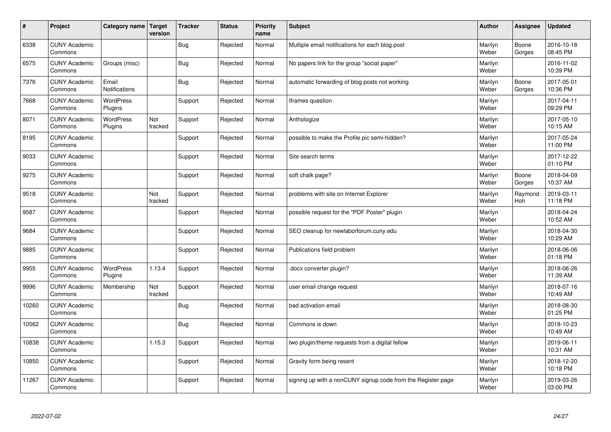| $\sharp$ | Project                         | Category name   Target        | version        | <b>Tracker</b> | <b>Status</b> | <b>Priority</b><br>name | <b>Subject</b>                                               | <b>Author</b>    | Assignee        | <b>Updated</b>         |
|----------|---------------------------------|-------------------------------|----------------|----------------|---------------|-------------------------|--------------------------------------------------------------|------------------|-----------------|------------------------|
| 6338     | <b>CUNY Academic</b><br>Commons |                               |                | Bug            | Rejected      | Normal                  | Multiple email notifications for each blog post              | Marilyn<br>Weber | Boone<br>Gorges | 2016-10-18<br>08:45 PM |
| 6575     | <b>CUNY Academic</b><br>Commons | Groups (misc)                 |                | Bug            | Rejected      | Normal                  | No papers link for the group "social paper"                  | Marilyn<br>Weber |                 | 2016-11-02<br>10:39 PM |
| 7376     | <b>CUNY Academic</b><br>Commons | Email<br><b>Notifications</b> |                | <b>Bug</b>     | Rejected      | Normal                  | automatic forwarding of blog posts not working               | Marilyn<br>Weber | Boone<br>Gorges | 2017-05-01<br>10:36 PM |
| 7668     | <b>CUNY Academic</b><br>Commons | <b>WordPress</b><br>Plugins   |                | Support        | Rejected      | Normal                  | Iframes question                                             | Marilyn<br>Weber |                 | 2017-04-11<br>09:29 PM |
| 8071     | <b>CUNY Academic</b><br>Commons | <b>WordPress</b><br>Plugins   | Not<br>tracked | Support        | Rejected      | Normal                  | Anthologize                                                  | Marilyn<br>Weber |                 | 2017-05-10<br>10:15 AM |
| 8195     | <b>CUNY Academic</b><br>Commons |                               |                | Support        | Rejected      | Normal                  | possible to make the Profile pic semi-hidden?                | Marilyn<br>Weber |                 | 2017-05-24<br>11:00 PM |
| 9033     | <b>CUNY Academic</b><br>Commons |                               |                | Support        | Rejected      | Normal                  | Site search terms                                            | Marilyn<br>Weber |                 | 2017-12-22<br>01:10 PM |
| 9275     | <b>CUNY Academic</b><br>Commons |                               |                | Support        | Rejected      | Normal                  | soft chalk page?                                             | Marilyn<br>Weber | Boone<br>Gorges | 2018-04-09<br>10:37 AM |
| 9518     | <b>CUNY Academic</b><br>Commons |                               | Not<br>tracked | Support        | Rejected      | Normal                  | problems with site on Internet Explorer                      | Marilyn<br>Weber | Raymond<br>Hoh  | 2019-03-11<br>11:18 PM |
| 9587     | <b>CUNY Academic</b><br>Commons |                               |                | Support        | Rejected      | Normal                  | possible request for the "PDF Poster" plugin                 | Marilyn<br>Weber |                 | 2018-04-24<br>10:52 AM |
| 9684     | <b>CUNY Academic</b><br>Commons |                               |                | Support        | Rejected      | Normal                  | SEO cleanup for newlaborforum.cuny.edu                       | Marilyn<br>Weber |                 | 2018-04-30<br>10:29 AM |
| 9885     | <b>CUNY Academic</b><br>Commons |                               |                | Support        | Rejected      | Normal                  | Publications field problem                                   | Marilyn<br>Weber |                 | 2018-06-06<br>01:18 PM |
| 9955     | <b>CUNY Academic</b><br>Commons | <b>WordPress</b><br>Plugins   | 1.13.4         | Support        | Rejected      | Normal                  | docx converter plugin?                                       | Marilyn<br>Weber |                 | 2018-06-26<br>11:39 AM |
| 9996     | <b>CUNY Academic</b><br>Commons | Membership                    | Not<br>tracked | Support        | Rejected      | Normal                  | user email change request                                    | Marilyn<br>Weber |                 | 2018-07-16<br>10:49 AM |
| 10260    | <b>CUNY Academic</b><br>Commons |                               |                | Bug            | Rejected      | Normal                  | bad activation email                                         | Marilyn<br>Weber |                 | 2018-08-30<br>01:25 PM |
| 10562    | <b>CUNY Academic</b><br>Commons |                               |                | <b>Bug</b>     | Rejected      | Normal                  | Commons is down                                              | Marilyn<br>Weber |                 | 2018-10-23<br>10:49 AM |
| 10838    | <b>CUNY Academic</b><br>Commons |                               | 1.15.3         | Support        | Rejected      | Normal                  | two plugin/theme requests from a digital fellow              | Marilyn<br>Weber |                 | 2019-06-11<br>10:31 AM |
| 10850    | <b>CUNY Academic</b><br>Commons |                               |                | Support        | Rejected      | Normal                  | Gravity form being resent                                    | Marilyn<br>Weber |                 | 2018-12-20<br>10:18 PM |
| 11267    | <b>CUNY Academic</b><br>Commons |                               |                | Support        | Rejected      | Normal                  | signing up with a nonCUNY signup code from the Register page | Marilyn<br>Weber |                 | 2019-03-26<br>03:00 PM |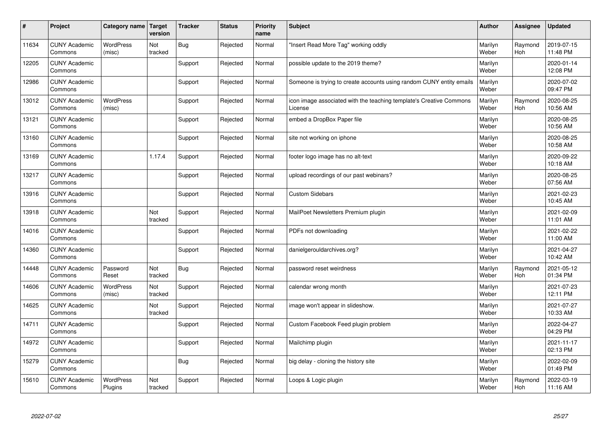| $\sharp$ | Project                         | Category name   Target      | version        | <b>Tracker</b> | <b>Status</b> | <b>Priority</b><br>name | <b>Subject</b>                                                                 | <b>Author</b>    | Assignee       | <b>Updated</b>         |
|----------|---------------------------------|-----------------------------|----------------|----------------|---------------|-------------------------|--------------------------------------------------------------------------------|------------------|----------------|------------------------|
| 11634    | <b>CUNY Academic</b><br>Commons | <b>WordPress</b><br>(misc)  | Not<br>tracked | <b>Bug</b>     | Rejected      | Normal                  | "Insert Read More Tag" working oddly                                           | Marilyn<br>Weber | Raymond<br>Hoh | 2019-07-15<br>11:48 PM |
| 12205    | <b>CUNY Academic</b><br>Commons |                             |                | Support        | Rejected      | Normal                  | possible update to the 2019 theme?                                             | Marilyn<br>Weber |                | 2020-01-14<br>12:08 PM |
| 12986    | <b>CUNY Academic</b><br>Commons |                             |                | Support        | Rejected      | Normal                  | Someone is trying to create accounts using random CUNY entity emails           | Marilyn<br>Weber |                | 2020-07-02<br>09:47 PM |
| 13012    | <b>CUNY Academic</b><br>Commons | <b>WordPress</b><br>(misc)  |                | Support        | Rejected      | Normal                  | icon image associated with the teaching template's Creative Commons<br>License | Marilyn<br>Weber | Raymond<br>Hoh | 2020-08-25<br>10:56 AM |
| 13121    | <b>CUNY Academic</b><br>Commons |                             |                | Support        | Rejected      | Normal                  | embed a DropBox Paper file                                                     | Marilyn<br>Weber |                | 2020-08-25<br>10:56 AM |
| 13160    | <b>CUNY Academic</b><br>Commons |                             |                | Support        | Rejected      | Normal                  | site not working on iphone                                                     | Marilyn<br>Weber |                | 2020-08-25<br>10:58 AM |
| 13169    | <b>CUNY Academic</b><br>Commons |                             | 1.17.4         | Support        | Rejected      | Normal                  | footer logo image has no alt-text                                              | Marilyn<br>Weber |                | 2020-09-22<br>10:18 AM |
| 13217    | <b>CUNY Academic</b><br>Commons |                             |                | Support        | Rejected      | Normal                  | upload recordings of our past webinars?                                        | Marilyn<br>Weber |                | 2020-08-25<br>07:56 AM |
| 13916    | <b>CUNY Academic</b><br>Commons |                             |                | Support        | Rejected      | Normal                  | <b>Custom Sidebars</b>                                                         | Marilyn<br>Weber |                | 2021-02-23<br>10:45 AM |
| 13918    | <b>CUNY Academic</b><br>Commons |                             | Not<br>tracked | Support        | Rejected      | Normal                  | MailPoet Newsletters Premium plugin                                            | Marilyn<br>Weber |                | 2021-02-09<br>11:01 AM |
| 14016    | <b>CUNY Academic</b><br>Commons |                             |                | Support        | Rejected      | Normal                  | PDFs not downloading                                                           | Marilyn<br>Weber |                | 2021-02-22<br>11:00 AM |
| 14360    | <b>CUNY Academic</b><br>Commons |                             |                | Support        | Rejected      | Normal                  | danielgerouldarchives.org?                                                     | Marilyn<br>Weber |                | 2021-04-27<br>10:42 AM |
| 14448    | <b>CUNY Academic</b><br>Commons | Password<br>Reset           | Not<br>tracked | <b>Bug</b>     | Rejected      | Normal                  | password reset weirdness                                                       | Marilyn<br>Weber | Raymond<br>Hoh | 2021-05-12<br>01:34 PM |
| 14606    | <b>CUNY Academic</b><br>Commons | WordPress<br>(misc)         | Not<br>tracked | Support        | Rejected      | Normal                  | calendar wrong month                                                           | Marilyn<br>Weber |                | 2021-07-23<br>12:11 PM |
| 14625    | <b>CUNY Academic</b><br>Commons |                             | Not<br>tracked | Support        | Rejected      | Normal                  | image won't appear in slideshow.                                               | Marilyn<br>Weber |                | 2021-07-27<br>10:33 AM |
| 14711    | <b>CUNY Academic</b><br>Commons |                             |                | Support        | Rejected      | Normal                  | Custom Facebook Feed plugin problem                                            | Marilyn<br>Weber |                | 2022-04-27<br>04:29 PM |
| 14972    | <b>CUNY Academic</b><br>Commons |                             |                | Support        | Rejected      | Normal                  | Mailchimp plugin                                                               | Marilyn<br>Weber |                | 2021-11-17<br>02:13 PM |
| 15279    | <b>CUNY Academic</b><br>Commons |                             |                | Bug            | Rejected      | Normal                  | big delay - cloning the history site                                           | Marilyn<br>Weber |                | 2022-02-09<br>01:49 PM |
| 15610    | <b>CUNY Academic</b><br>Commons | <b>WordPress</b><br>Plugins | Not<br>tracked | Support        | Rejected      | Normal                  | Loops & Logic plugin                                                           | Marilyn<br>Weber | Raymond<br>Hoh | 2022-03-19<br>11:16 AM |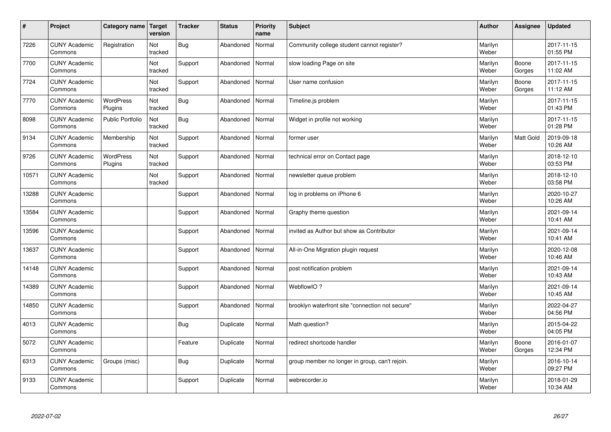| $\sharp$ | Project                         | Category name   Target      | version        | <b>Tracker</b> | <b>Status</b> | <b>Priority</b><br>name | <b>Subject</b>                                   | <b>Author</b>    | Assignee         | <b>Updated</b>         |
|----------|---------------------------------|-----------------------------|----------------|----------------|---------------|-------------------------|--------------------------------------------------|------------------|------------------|------------------------|
| 7226     | <b>CUNY Academic</b><br>Commons | Registration                | Not<br>tracked | <b>Bug</b>     | Abandoned     | Normal                  | Community college student cannot register?       | Marilyn<br>Weber |                  | 2017-11-15<br>01:55 PM |
| 7700     | <b>CUNY Academic</b><br>Commons |                             | Not<br>tracked | Support        | Abandoned     | Normal                  | slow loading Page on site                        | Marilyn<br>Weber | Boone<br>Gorges  | 2017-11-15<br>11:02 AM |
| 7724     | <b>CUNY Academic</b><br>Commons |                             | Not<br>tracked | Support        | Abandoned     | Normal                  | User name confusion                              | Marilyn<br>Weber | Boone<br>Gorges  | 2017-11-15<br>11:12 AM |
| 7770     | <b>CUNY Academic</b><br>Commons | <b>WordPress</b><br>Plugins | Not<br>tracked | <b>Bug</b>     | Abandoned     | Normal                  | Timeline.js problem                              | Marilyn<br>Weber |                  | 2017-11-15<br>01:43 PM |
| 8098     | <b>CUNY Academic</b><br>Commons | <b>Public Portfolio</b>     | Not<br>tracked | <b>Bug</b>     | Abandoned     | Normal                  | Widget in profile not working                    | Marilyn<br>Weber |                  | 2017-11-15<br>01:28 PM |
| 9134     | <b>CUNY Academic</b><br>Commons | Membership                  | Not<br>tracked | Support        | Abandoned     | Normal                  | former user                                      | Marilyn<br>Weber | <b>Matt Gold</b> | 2019-09-18<br>10:26 AM |
| 9726     | <b>CUNY Academic</b><br>Commons | <b>WordPress</b><br>Plugins | Not<br>tracked | Support        | Abandoned     | Normal                  | technical error on Contact page                  | Marilyn<br>Weber |                  | 2018-12-10<br>03:53 PM |
| 10571    | <b>CUNY Academic</b><br>Commons |                             | Not<br>tracked | Support        | Abandoned     | Normal                  | newsletter queue problem                         | Marilyn<br>Weber |                  | 2018-12-10<br>03:58 PM |
| 13288    | <b>CUNY Academic</b><br>Commons |                             |                | Support        | Abandoned     | Normal                  | log in problems on iPhone 6                      | Marilyn<br>Weber |                  | 2020-10-27<br>10:26 AM |
| 13584    | <b>CUNY Academic</b><br>Commons |                             |                | Support        | Abandoned     | Normal                  | Graphy theme question                            | Marilyn<br>Weber |                  | 2021-09-14<br>10:41 AM |
| 13596    | <b>CUNY Academic</b><br>Commons |                             |                | Support        | Abandoned     | Normal                  | invited as Author but show as Contributor        | Marilyn<br>Weber |                  | 2021-09-14<br>10:41 AM |
| 13637    | <b>CUNY Academic</b><br>Commons |                             |                | Support        | Abandoned     | Normal                  | All-in-One Migration plugin request              | Marilyn<br>Weber |                  | 2020-12-08<br>10:46 AM |
| 14148    | <b>CUNY Academic</b><br>Commons |                             |                | Support        | Abandoned     | Normal                  | post notification problem                        | Marilyn<br>Weber |                  | 2021-09-14<br>10:43 AM |
| 14389    | <b>CUNY Academic</b><br>Commons |                             |                | Support        | Abandoned     | Normal                  | WebflowIO?                                       | Marilyn<br>Weber |                  | 2021-09-14<br>10:45 AM |
| 14850    | <b>CUNY Academic</b><br>Commons |                             |                | Support        | Abandoned     | Normal                  | brooklyn waterfront site "connection not secure" | Marilyn<br>Weber |                  | 2022-04-27<br>04:56 PM |
| 4013     | <b>CUNY Academic</b><br>Commons |                             |                | <b>Bug</b>     | Duplicate     | Normal                  | Math question?                                   | Marilyn<br>Weber |                  | 2015-04-22<br>04:05 PM |
| 5072     | <b>CUNY Academic</b><br>Commons |                             |                | Feature        | Duplicate     | Normal                  | redirect shortcode handler                       | Marilyn<br>Weber | Boone<br>Gorges  | 2016-01-07<br>12:34 PM |
| 6313     | <b>CUNY Academic</b><br>Commons | Groups (misc)               |                | Bug            | Duplicate     | Normal                  | group member no longer in group, can't rejoin.   | Marilyn<br>Weber |                  | 2016-10-14<br>09:27 PM |
| 9133     | <b>CUNY Academic</b><br>Commons |                             |                | Support        | Duplicate     | Normal                  | webrecorder.io                                   | Marilyn<br>Weber |                  | 2018-01-29<br>10:34 AM |